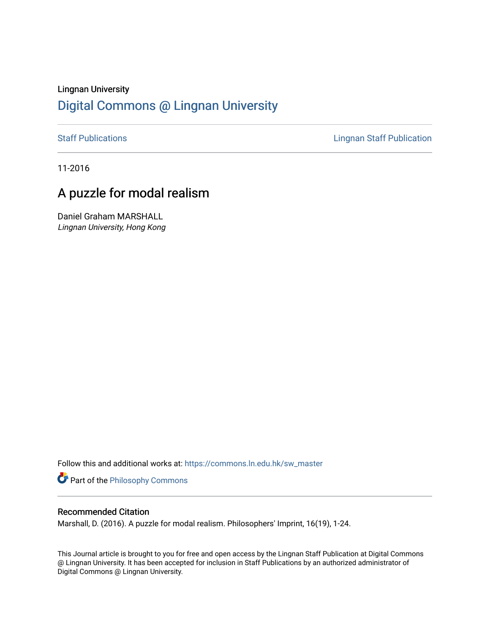# Lingnan University [Digital Commons @ Lingnan University](https://commons.ln.edu.hk/)

[Staff Publications](https://commons.ln.edu.hk/sw_master) **Staff Publications Lingnan Staff Publication** 

11-2016

# A puzzle for modal realism

Daniel Graham MARSHALL Lingnan University, Hong Kong

Follow this and additional works at: [https://commons.ln.edu.hk/sw\\_master](https://commons.ln.edu.hk/sw_master?utm_source=commons.ln.edu.hk%2Fsw_master%2F6122&utm_medium=PDF&utm_campaign=PDFCoverPages) 

**Part of the Philosophy Commons** 

### Recommended Citation

Marshall, D. (2016). A puzzle for modal realism. Philosophers' Imprint, 16(19), 1-24.

This Journal article is brought to you for free and open access by the Lingnan Staff Publication at Digital Commons @ Lingnan University. It has been accepted for inclusion in Staff Publications by an authorized administrator of Digital Commons @ Lingnan University.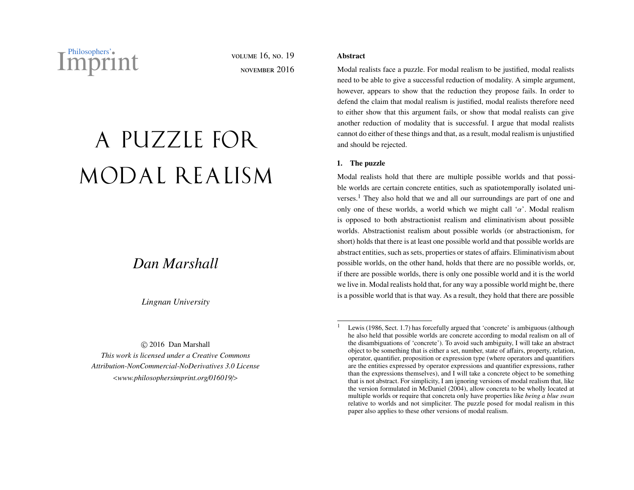Philosophers' volume 16, No. 19<br>
MDITINT VOLUME 16, NO. 19

november 2016

# A PUZZLE FOR MODAL REALISM

# *Dan Marshall*

*Lingnan University*

© 2016 Dan Marshall *This work is licensed under a Creative Commons Attribution-NonCommercial-NoDerivatives 3.0 License* <*[www.philosophersimprint.org](http://www.philosophersimprint.org/016019/)*/*016019*/>

### **Abstract**

Modal realists face a puzzle. For modal realism to be justified, modal realists need to be able to give a successful reduction of modality. A simple argument, however, appears to show that the reduction they propose fails. In order to defend the claim that modal realism is justified, modal realists therefore need to either show that this argument fails, or show that modal realists can give another reduction of modality that is successful. I argue that modal realists cannot do either of these things and that, as a result, modal realism is unjustified and should be rejected.

### <span id="page-1-1"></span>1. The puzzle

Modal realists hold that there are multiple possible worlds and that possible worlds are certain concrete entities, such as spatiotemporally isolated uni-verses.<sup>[1](#page-1-0)</sup> They also hold that we and all our surroundings are part of one and only one of these worlds, a world which we might call ' $\alpha$ '. Modal realism is opposed to both abstractionist realism and eliminativism about possible worlds. Abstractionist realism about possible worlds (or abstractionism, for short) holds that there is at least one possible world and that possible worlds are abstract entities, such as sets, properties or states of affairs. Eliminativism about possible worlds, on the other hand, holds that there are no possible worlds, or, if there are possible worlds, there is only one possible world and it is the world we live in. Modal realists hold that, for any way a possible world might be, there is a possible world that is that way. As a result, they hold that there are possible

<span id="page-1-0"></span>Lewis [\(1986,](#page-24-0) Sect. 1.7) has forcefully argued that 'concrete' is ambiguous (although he also held that possible worlds are concrete according to modal realism on all of the disambiguations of 'concrete'). To avoid such ambiguity, I will take an abstract object to be something that is either a set, number, state of affairs, property, relation, operator, quantifier, proposition or expression type (where operators and quantifiers are the entities expressed by operator expressions and quantifier expressions, rather than the expressions themselves), and I will take a concrete object to be something that is not abstract. For simplicity, I am ignoring versions of modal realism that, like the version formulated in [McDaniel](#page-24-1) [\(2004\)](#page-24-1), allow concreta to be wholly located at multiple worlds or require that concreta only have properties like *being a blue swan* relative to worlds and not simpliciter. The puzzle posed for modal realism in this paper also applies to these other versions of modal realism.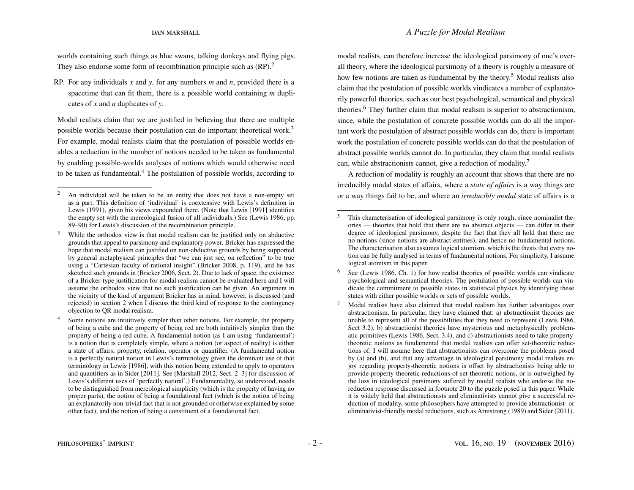worlds containing such things as blue swans, talking donkeys and flying pigs. They also endorse some form of recombination principle such as  $(RP)$ .<sup>[2](#page-2-0)</sup>

RP. For any individuals *x* and *y*, for any numbers *m* and *n*, provided there is a spacetime that can fit them, there is a possible world containing *m* duplicates of *x* and *n* duplicates of *y*.

Modal realists claim that we are justified in believing that there are multiple possible worlds because their postulation can do important theoretical work.[3](#page-2-1) For example, modal realists claim that the postulation of possible worlds enables a reduction in the number of notions needed to be taken as fundamental by enabling possible-worlds analyses of notions which would otherwise need to be taken as fundamental.<sup>[4](#page-2-2)</sup> The postulation of possible worlds, according to

modal realists, can therefore increase the ideological parsimony of one's overall theory, where the ideological parsimony of a theory is roughly a measure of how few notions are taken as fundamental by the theory.<sup>[5](#page-2-3)</sup> Modal realists also claim that the postulation of possible worlds vindicates a number of explanatorily powerful theories, such as our best psychological, semantical and physical theories.[6](#page-2-4) They further claim that modal realism is superior to abstractionism, since, while the postulation of concrete possible worlds can do all the important work the postulation of abstract possible worlds can do, there is important work the postulation of concrete possible worlds can do that the postulation of abstract possible worlds cannot do. In particular, they claim that modal realists can, while abstractionists cannot, give a reduction of modality.[7](#page-2-5)

A reduction of modality is roughly an account that shows that there are no irreducibly modal states of affairs, where a *state of a*ff*airs* is a way things are or a way things fail to be, and where an *irreducibly modal* state of affairs is a

<span id="page-2-0"></span><sup>&</sup>lt;sup>2</sup> An individual will be taken to be an entity that does not have a non-empty set as a part. This definition of 'individual' is coextensive with Lewis's definition in [Lewis](#page-24-2) [\(1991\)](#page-24-2), given his views expounded there. (Note that Lewis [1991] identifies the empty set with the mereological fusion of all individuals.) See [\(Lewis](#page-24-0) [1986,](#page-24-0) pp. 89–90) for Lewis's discussion of the recombination principle.

<span id="page-2-1"></span><sup>&</sup>lt;sup>3</sup> While the orthodox view is that modal realism can be justified only on abductive grounds that appeal to parsimony and explanatory power, Bricker has expressed the hope that modal realism can justified on non-abductive grounds by being supported by general metaphysical principles that "we can just see, on reflection" to be true using a "Cartesian faculty of rational insight" [\(Bricker](#page-23-0) [2008,](#page-23-0) p. 119), and he has sketched such grounds in [\(Bricker](#page-23-1) [2006,](#page-23-1) Sect. 2). Due to lack of space, the existence of a Bricker-type justification for modal realism cannot be evaluated here and I will assume the orthodox view that no such justification can be given. An argument in the vicinity of the kind of argument Bricker has in mind, however, is discussed (and rejected) in section [2](#page-8-0) when I discuss the third kind of response to the contingency objection to QR modal realism.

<span id="page-2-2"></span><sup>&</sup>lt;sup>4</sup> Some notions are intuitively simpler than other notions. For example, the property of being a cube and the property of being red are both intuitively simpler than the property of being a red cube. A fundamental notion (as I am using 'fundamental') is a notion that is completely simple, where a notion (or aspect of reality) is either a state of affairs, property, relation, operator or quantifier. (A fundamental notion is a perfectly natural notion in Lewis's terminology given the dominant use of that terminology in Lewis [1986], with this notion being extended to apply to operators and quantifiers as in Sider [2011]. See [Marshall 2012, Sect. 2–3] for discussion of Lewis's different uses of 'perfectly natural'.) Fundamentality, so understood, needs to be distinguished from mereological simplicity (which is the property of having no proper parts), the notion of being a foundational fact (which is the notion of being an explanatorily non-trivial fact that is not grounded or otherwise explained by some other fact), and the notion of being a constituent of a foundational fact.

<span id="page-2-3"></span>This characterisation of ideological parsimony is only rough, since nominalist theories — theories that hold that there are no abstract objects — can differ in their degree of ideological parsimony, despite the fact that they all hold that there are no notions (since notions are abstract entities), and hence no fundamental notions. The characterisation also assumes logical atomism, which is the thesis that every notion can be fully analysed in terms of fundamental notions. For simplicity, I assume logical atomism in this paper.

<span id="page-2-4"></span>See [\(Lewis](#page-24-0) [1986,](#page-24-0) Ch. 1) for how realist theories of possible worlds can vindicate psychological and semantical theories. The postulation of possible worlds can vindicate the commitment to possible states in statistical physics by identifying these states with either possible worlds or sets of possible worlds.

<span id="page-2-5"></span><sup>7</sup> Modal realists have also claimed that modal realism has further advantages over abstractionism. In particular, they have claimed that: a) abstractionist theories are unable to represent all of the possibilities that they need to represent [\(Lewis](#page-24-0) [1986,](#page-24-0) Sect 3.2), b) abstractionist theories have mysterious and metaphysically problematic primitives [\(Lewis](#page-24-0) [1986,](#page-24-0) Sect. 3.4), and c) abstractionists need to take propertytheoretic notions as fundamental that modal realists can offer set-theoretic reductions of. I will assume here that abstractionists can overcome the problems posed by (a) and (b), and that any advantage in ideological parsimony modal realists enjoy regarding property-theoretic notions is offset by abstractionists being able to provide property-theoretic reductions of set-theoretic notions, or is outweighed by the loss in ideological parsimony suffered by modal realists who endorse the noreduction response discussed in footnote [20](#page-6-0) to the puzzle posed in this paper. While it is widely held that abstractionists and eliminativists cannot give a successful reduction of modality, some philosophers have attempted to provide abstractionist- or eliminativist-friendly modal reductions, such as [Armstrong](#page-23-2) [\(1989\)](#page-23-2) and [Sider](#page-24-3) [\(2011\)](#page-24-3).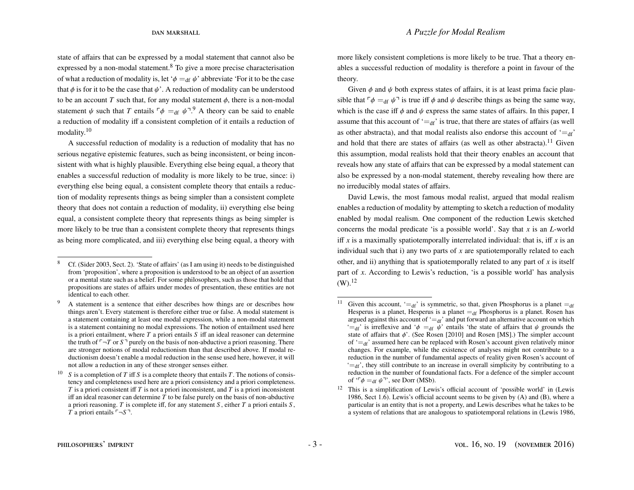state of affairs that can be expressed by a modal statement that cannot also be expressed by a non-modal statement. $8$  To give a more precise characterisation of what a reduction of modality is, let ' $\phi =_{df} \psi$ ' abbreviate 'For it to be the case that  $\phi$  is for it to be the case that  $\psi'$ . A reduction of modality can be understood to be an account *T* such that, for any modal statement  $\phi$ , there is a non-modal statement  $\psi$  such that *T* entails  $\phi =_{df} \psi^{-1.9}$  $\phi =_{df} \psi^{-1.9}$  $\phi =_{df} \psi^{-1.9}$  A theory can be said to enable a reduction of modality iff a consistent completion of it entails a reduction of modality.[10](#page-3-2)

A successful reduction of modality is a reduction of modality that has no serious negative epistemic features, such as being inconsistent, or being inconsistent with what is highly plausible. Everything else being equal, a theory that enables a successful reduction of modality is more likely to be true, since: i) everything else being equal, a consistent complete theory that entails a reduction of modality represents things as being simpler than a consistent complete theory that does not contain a reduction of modality, ii) everything else being equal, a consistent complete theory that represents things as being simpler is more likely to be true than a consistent complete theory that represents things as being more complicated, and iii) everything else being equal, a theory with

more likely consistent completions is more likely to be true. That a theory enables a successful reduction of modality is therefore a point in favour of the theory.

Given  $\phi$  and  $\psi$  both express states of affairs, it is at least prima facie plausible that  $\phi =_{df} \psi$ <sup>-</sup> is true iff  $\phi$  and  $\psi$  describe things as being the same way, which is the case iff  $\phi$  and  $\psi$  express the same states of affairs. In this paper, I assume that this account of  $\dot{=}$ df' is true, that there are states of affairs (as well as other abstracta), and that modal realists also endorse this account of  $=_{df}$ . and hold that there are states of affairs (as well as other abstracta).<sup>[11](#page-3-3)</sup> Given this assumption, modal realists hold that their theory enables an account that reveals how any state of affairs that can be expressed by a modal statement can also be expressed by a non-modal statement, thereby revealing how there are no irreducibly modal states of affairs.

David Lewis, the most famous modal realist, argued that modal realism enables a reduction of modality by attempting to sketch a reduction of modality enabled by modal realism. One component of the reduction Lewis sketched concerns the modal predicate 'is a possible world'. Say that *x* is an *L*-world iff  $x$  is a maximally spatiotemporally interrelated individual: that is, iff  $x$  is an individual such that i) any two parts of *x* are spatiotemporally related to each other, and ii) anything that is spatiotemporally related to any part of *x* is itself part of *x*. According to Lewis's reduction, 'is a possible world' has analysis  $(W)$ <sup>[12](#page-3-4)</sup>

<span id="page-3-0"></span><sup>8</sup> Cf. [\(Sider](#page-24-4) [2003,](#page-24-4) Sect. 2). 'State of affairs' (as I am using it) needs to be distinguished from 'proposition', where a proposition is understood to be an object of an assertion or a mental state such as a belief. For some philosophers, such as those that hold that propositions are states of affairs under modes of presentation, these entities are not identical to each other.

<span id="page-3-1"></span><sup>&</sup>lt;sup>9</sup> A statement is a sentence that either describes how things are or describes how things aren't. Every statement is therefore either true or false. A modal statement is a statement containing at least one modal expression, while a non-modal statement is a statement containing no modal expressions. The notion of entailment used here is a priori entailment, where *T* a priori entails *S* iff an ideal reasoner can determine the truth of  $\lceil \neg T \rceil$  or  $S \rceil$  purely on the basis of non-abductive a priori reasoning. There are stronger notions of modal reductionism than that described above. If modal reductionism doesn't enable a modal reduction in the sense used here, however, it will not allow a reduction in any of these stronger senses either.

<span id="page-3-2"></span><sup>&</sup>lt;sup>10</sup> *S* is a completion of *T* iff *S* is a complete theory that entails *T*. The notions of consistency and completeness used here are a priori consistency and a priori completeness. *T* is a priori consistent iff *T* is not a priori inconsistent, and *T* is a priori inconsistent iff an ideal reasoner can determine  $\overline{T}$  to be false purely on the basis of non-abductive a priori reasoning. *T* is complete iff, for any statement *S* , either *T* a priori entails *S* , *T* a priori entails  $\neg S$ <sup> $\neg$ </sup>.

<span id="page-3-3"></span><sup>&</sup>lt;sup>11</sup> Given this account,  $\epsilon =_{df}$  is symmetric, so that, given Phosphorus is a planet  $\epsilon =_{df}$ Hesperus is a planet, Hesperus is a planet  $=_{df}$  Phosphorus is a planet. Rosen has argued against this account of  $\epsilon =_{df}$  and put forward an alternative account on which  $=$ df' is irreflexive and ' $\phi =$ df  $\psi$ ' entails 'the state of affairs that  $\psi$  grounds the state of affairs that  $\phi'$ . (See Rosen [2010] and Rosen [MS].) The simpler account of  $=_{df}$  assumed here can be replaced with Rosen's account given relatively minor changes. For example, while the existence of analyses might not contribute to a reduction in the number of fundamental aspects of reality given Rosen's account of  $f = df$ , they still contribute to an increase in overall simplicity by contributing to a reduction in the number of foundational facts. For a defence of the simpler account of ' $\phi =_{df} \psi$ '', see [Dorr](#page-23-3) [\(MSb\)](#page-23-3).

<span id="page-3-4"></span> $12$  This is a simplification of Lewis's official account of 'possible world' in [\(Lewis](#page-24-0) [1986,](#page-24-0) Sect 1.6). Lewis's official account seems to be given by (A) and (B), where a particular is an entity that is not a property, and Lewis describes what he takes to be a system of relations that are analogous to spatiotemporal relations in [\(Lewis](#page-24-0) [1986,](#page-24-0)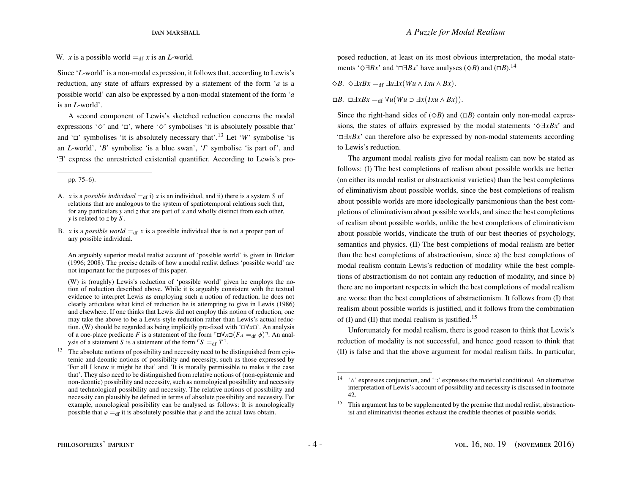W. *x* is a possible world  $=_{df} x$  is an *L*-world.

Since '*L*-world' is a non-modal expression, it follows that, according to Lewis's reduction, any state of affairs expressed by a statement of the form '*a* is a possible world' can also be expressed by a non-modal statement of the form '*a* is an *L*-world'.

A second component of Lewis's sketched reduction concerns the modal expressions ' $\diamond$ ' and ' $\square$ ', where ' $\diamond$ ' symbolises 'it is absolutely possible that' and  $\Box$  symbolises 'it is absolutely necessary that'.<sup>[13](#page-4-0)</sup> Let '*W*' symbolise 'is an *L*-world', '*B*' symbolise 'is a blue swan', '*I*' symbolise 'is part of', and '∃' express the unrestricted existential quantifier. According to Lewis's pro-

B. *x* is a *possible world*  $=_{df} x$  is a possible individual that is not a proper part of any possible individual.

An arguably superior modal realist account of 'possible world' is given in [Bricker](#page-23-4) [\(1996;](#page-23-4) [2008\)](#page-23-0). The precise details of how a modal realist defines 'possible world' are not important for the purposes of this paper.

(W) is (roughly) Lewis's reduction of 'possible world' given he employs the notion of reduction described above. While it is arguably consistent with the textual evidence to interpret Lewis as employing such a notion of reduction, he does not clearly articulate what kind of reduction he is attempting to give in [Lewis](#page-24-0) [\(1986\)](#page-24-0) and elsewhere. If one thinks that Lewis did not employ this notion of reduction, one may take the above to be a Lewis-style reduction rather than Lewis's actual reduction. (W) should be regarded as being implicitly pre-fixed with '∀*x*'. An analysis of a one-place predicate *F* is a statement of the form  $\Box \forall x \Box (Fx =_{df} \phi)$ <sup> $\Box$ </sup>. An analysis of a statement *S* is a statement of the form  $\ulcorner S =_{df} T \urcorner$ .

<span id="page-4-0"></span><sup>13</sup> The absolute notions of possibility and necessity need to be distinguished from epistemic and deontic notions of possibility and necessity, such as those expressed by 'For all I know it might be that' and 'It is morally permissible to make it the case that'. They also need to be distinguished from relative notions of (non-epistemic and non-deontic) possibility and necessity, such as nomological possibility and necessity and technological possibility and necessity. The relative notions of possibility and necessity can plausibly be defined in terms of absolute possibility and necessity. For example, nomological possibility can be analysed as follows: It is nomologically possible that  $\varphi =_{df}$  it is absolutely possible that  $\varphi$  and the actual laws obtain.

posed reduction, at least on its most obvious interpretation, the modal statements ' $\Diamond \exists Bx$ ' and ' $\Box \exists Bx$ ' have analyses ( $\Diamond B$ ) and ( $\Box B$ ).<sup>[14](#page-4-1)</sup>

$$
\diamondsuit B. \ \diamondsuit \exists x Bx =_{df} \exists u \exists x (Wu \wedge Ixu \wedge Bx).
$$

 $\Box B$ .  $\Box \exists x Bx =_{df} \forall u (Wu \supset \exists x (Ixu \wedge Bx))$ .

Since the right-hand sides of  $(\Diamond B)$  and  $(\Box B)$  contain only non-modal expressions, the states of affairs expressed by the modal statements '^∃*xBx*' and '∃*xBx*' can therefore also be expressed by non-modal statements according to Lewis's reduction.

The argument modal realists give for modal realism can now be stated as follows: (I) The best completions of realism about possible worlds are better (on either its modal realist or abstractionist varieties) than the best completions of eliminativism about possible worlds, since the best completions of realism about possible worlds are more ideologically parsimonious than the best completions of eliminativism about possible worlds, and since the best completions of realism about possible worlds, unlike the best completions of eliminativism about possible worlds, vindicate the truth of our best theories of psychology, semantics and physics. (II) The best completions of modal realism are better than the best completions of abstractionism, since a) the best completions of modal realism contain Lewis's reduction of modality while the best completions of abstractionism do not contain any reduction of modality, and since b) there are no important respects in which the best completions of modal realism are worse than the best completions of abstractionism. It follows from (I) that realism about possible worlds is justified, and it follows from the combination of (I) and (II) that modal realism is justified.<sup>[15](#page-4-2)</sup>

Unfortunately for modal realism, there is good reason to think that Lewis's reduction of modality is not successful, and hence good reason to think that (II) is false and that the above argument for modal realism fails. In particular,

pp. 75–6).

A. *x* is a *possible individual*  $=_{df}$  i) *x* is an individual, and ii) there is a system *S* of relations that are analogous to the system of spatiotemporal relations such that, for any particulars *y* and *z* that are part of *x* and wholly distinct from each other, *y* is related to *z* by *S* .

<span id="page-4-1"></span><sup>14</sup> '∧' expresses conjunction, and '⊃' expresses the material conditional. An alternative interpretation of Lewis's account of possibility and necessity is discussed in footnote [42.](#page-17-0)

<span id="page-4-2"></span><sup>&</sup>lt;sup>15</sup> This argument has to be supplemented by the premise that modal realist, abstractionist and eliminativist theories exhaust the credible theories of possible worlds.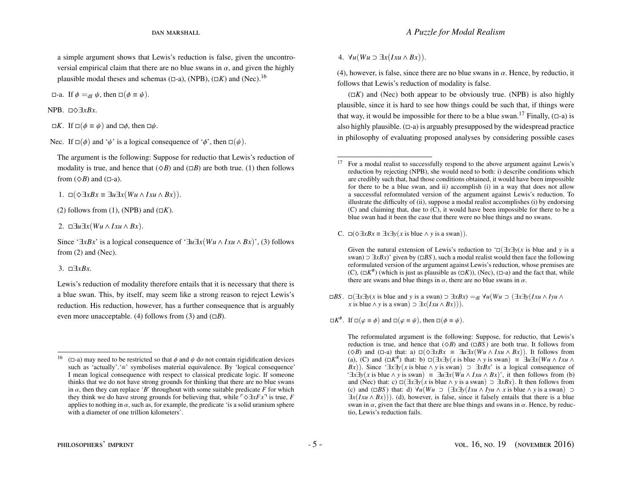a simple argument shows that Lewis's reduction is false, given the uncontroversial empirical claim that there are no blue swans in  $\alpha$ , and given the highly plausible modal theses and schemas ( $\Box$ -a), (NPB), ( $\Box K$ ) and (Nec).<sup>[16](#page-5-0)</sup>

 $\Box$ -a. If  $\phi =_{df} \psi$ , then  $\Box(\phi \equiv \psi)$ .

NPB. □◇∃*xBx*.

 $\Box K$ . If  $\Box (\phi \equiv \psi)$  and  $\Box \phi$ , then  $\Box \psi$ .

Nec. If  $\square(\phi)$  and ' $\psi$ ' is a logical consequence of ' $\phi$ ', then  $\square(\psi)$ .

The argument is the following: Suppose for reductio that Lewis's reduction of modality is true, and hence that  $(\Diamond B)$  and  $(\Box B)$  are both true. [\(1\)](#page-5-1) then follows from  $(\Diamond B)$  and  $(\Box$ -a).

<span id="page-5-1"></span>1.  $\square(\Diamond \exists xBx \equiv \exists u\exists x(Wu \land Ixu \land Bx)).$ 

[\(2\)](#page-5-2) follows from [\(1\)](#page-5-1), (NPB) and  $(\Box K)$ .

<span id="page-5-2"></span>2. ∃*u*∃*x*(*Wu* ∧ *Ixu* ∧ *Bx*).

Since ' $\exists x Bx$ ' is a logical consequence of ' $\exists u \exists x (Wu \land Ixu \land Bx)$ ', [\(3\)](#page-5-3) follows from [\(2\)](#page-5-2) and (Nec).

<span id="page-5-3"></span>3. ∃*xBx*.

Lewis's reduction of modality therefore entails that it is necessary that there is a blue swan. This, by itself, may seem like a strong reason to reject Lewis's reduction. His reduction, however, has a further consequence that is arguably even more unacceptable. [\(4\)](#page-5-4) follows from [\(3\)](#page-5-3) and  $(\Box B)$ .

<span id="page-5-4"></span>4.  $\forall u(Wu \supset \exists x(Ixu \wedge Bx))$ .

[\(4\)](#page-5-4), however, is false, since there are no blue swans in  $\alpha$ . Hence, by reductio, it follows that Lewis's reduction of modality is false.

 $(\Box K)$  and (Nec) both appear to be obviously true. (NPB) is also highly plausible, since it is hard to see how things could be such that, if things were that way, it would be impossible for there to be a blue swan.<sup>[17](#page-5-5)</sup> Finally,  $(\Box - a)$  is also highly plausible.  $(\Box - a)$  is arguably presupposed by the widespread practice in philosophy of evaluating proposed analyses by considering possible cases

C.  $\Box$ (◇ $\exists xBx \equiv \exists x\exists y(x \text{ is blue} \land y \text{ is a swan})$ ).

Given the natural extension of Lewis's reduction to  $\Box(\exists x \exists y(x \text{ is blue and } y \text{ is a})$ swan) ⊃ ∃*xBx*)' given by (*BS* ), such a modal realist would then face the following reformulated version of the argument against Lewis's reduction, whose premises are  $(C)$ ,  $(\Box K^{\#})$  (which is just as plausible as  $(\Box K)$ ), (Nec),  $(\Box \neg a)$  and the fact that, while there are swans and blue things in  $\alpha$ , there are no blue swans in  $\alpha$ .

 $\Box BS$ .  $\Box(\exists x \exists y(x \text{ is blue and } y \text{ is a swan}) \supset \exists x Bx$ ) =df  $\forall u(Wu \supset (\exists x \exists y(Ixu \land Iyu \land Yu))$ *x* is blue ∧ *y* is a swan) ⊃  $\exists x ( I x u \land B x)$ ).

The reformulated argument is the following: Suppose, for reductio, that Lewis's reduction is true, and hence that  $(\Diamond B)$  and  $(\Box BS)$  are both true. It follows from ( $\Diamond$ *B*) and ( $\Box$ -a) that: a)  $\Box$ ( $\Diamond$  $\exists xBx$  ≡  $\exists u\exists x(Wu \land Ixu \land Bx)$ ). It follows from (a), (C) and  $(\Box K^{\#})$  that: b)  $\Box(\exists x \exists y(x \text{ is blue} \land y \text{ is swan}) = \Box u \exists x (Wu \land Ixu \land y \text{ is swan})$ *Bx*)). Since  $\exists x \exists y(x)$  is blue  $\land y$  is swan)  $\supset \exists x Bx'$  is a logical consequence of '∃*x*∃*y*(*x* is blue ∧ *y* is swan) ≡ ∃*u*∃*x*(*Wu* ∧ *Ixu* ∧ *Bx*)', it then follows from (b) and (Nec) that: c)  $\Box(\exists x \exists y(x \text{ is blue} \land y \text{ is a swap}) \supset \exists x Bx$ ). It then follows from (c) and ( $\Box BS$ ) that: d)  $\forall u(Wu \supset (\exists x \exists y (Ixu \land Iyu \land x \text{ is blue} \land y \text{ is a swan}) \supset$  $\exists x (Ixu \wedge Bx))$ . (d), however, is false, since it falsely entails that there is a blue swan in  $\alpha$ , given the fact that there are blue things and swans in  $\alpha$ . Hence, by reductio, Lewis's reduction fails.

<span id="page-5-0"></span><sup>&</sup>lt;sup>16</sup> ( $\Box$ -a) may need to be restricted so that  $\phi$  and  $\psi$  do not contain rigidification devices such as 'actually'.'≡' symbolises material equivalence. By 'logical consequence' I mean logical consequence with respect to classical predicate logic. If someone thinks that we do not have strong grounds for thinking that there are no blue swans in  $\alpha$ , then they can replace 'B' throughout with some suitable predicate F for which in  $\alpha$ , then they can replace '*B*' throughout with some suitable predicate *F* for which they think we do have strong grounds for believing that, while  $\lceil \Diamond \exists x F x \rceil$  is true, *F* applies to nothing in  $\alpha$ , such as, for example, the predicate 'is a solid uranium sphere with a diameter of one trillion kilometers'.

<span id="page-5-5"></span><sup>&</sup>lt;sup>17</sup> For a modal realist to successfully respond to the above argument against Lewis's reduction by rejecting (NPB), she would need to both: i) describe conditions which are credibly such that, had those conditions obtained, it would have been impossible for there to be a blue swan, and ii) accomplish (i) in a way that does not allow a successful reformulated version of the argument against Lewis's reduction. To illustrate the difficulty of (ii), suppose a modal realist accomplishes (i) by endorsing (C) and claiming that, due to (C), it would have been impossible for there to be a blue swan had it been the case that there were no blue things and no swans.

 $\Box K^{\#}$ . If  $\Box(\varphi \equiv \phi)$  and  $\Box(\varphi \equiv \psi)$ , then  $\Box(\phi \equiv \psi)$ .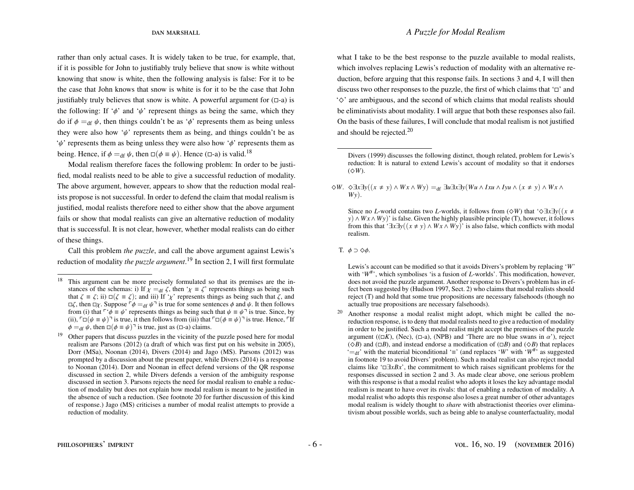rather than only actual cases. It is widely taken to be true, for example, that, if it is possible for John to justifiably truly believe that snow is white without knowing that snow is white, then the following analysis is false: For it to be the case that John knows that snow is white is for it to be the case that John justifiably truly believes that snow is white. A powerful argument for  $( \Box -a)$  is the following: If ' $\phi$ ' and ' $\psi$ ' represent things as being the same, which they do if  $\phi =_{df} \psi$ , then things couldn't be as ' $\phi$ ' represents them as being unless they were also how ' $\psi$ ' represents them as being, and things couldn't be as  $\psi$  represents them as being unless they were also how  $\phi$  represents them as being. Hence, if  $\phi =_{df} \psi$ , then  $\Box(\phi \equiv \psi)$ . Hence ( $\Box$ -a) is valid.<sup>[18](#page-6-1)</sup>

Modal realism therefore faces the following problem: In order to be justified, modal realists need to be able to give a successful reduction of modality. The above argument, however, appears to show that the reduction modal realists propose is not successful. In order to defend the claim that modal realism is justified, modal realists therefore need to either show that the above argument fails or show that modal realists can give an alternative reduction of modality that is successful. It is not clear, however, whether modal realists can do either of these things.

Call this problem *the puzzle*, and call the above argument against Lewis's reduction of modality *the puzzle argument*. [19](#page-6-2) In section [2,](#page-8-0) I will first formulate

what I take to be the best response to the puzzle available to modal realists, which involves replacing Lewis's reduction of modality with an alternative reduction, before arguing that this response fails. In sections [3](#page-17-1) and [4,](#page-20-0) I will then discuss two other responses to the puzzle, the first of which claims that  $\Box$  and  $\Diamond$  are ambiguous, and the second of which claims that modal realists should be eliminativists about modality. I will argue that both these responses also fail. On the basis of these failures, I will conclude that modal realism is not justified and should be rejected.[20](#page-6-0)

Lewis's account can be modified so that it avoids Divers's problem by replacing '*W*' with 'W<sup>#</sup>', which symbolises 'is a fusion of *L*-worlds'. This modification, however, does not avoid the puzzle argument. Another response to Divers's problem has in effect been suggested by [\(Hudson](#page-24-8) [1997,](#page-24-8) Sect. 2) who claims that modal realists should reject (T) and hold that some true propositions are necessary falsehoods (though no actually true propositions are necessary falsehoods).

<span id="page-6-0"></span><sup>20</sup> Another response a modal realist might adopt, which might be called the noreduction response, is to deny that modal realists need to give a reduction of modality in order to be justified. Such a modal realist might accept the premises of the puzzle argument ( $(\Box K)$ , (Nec),  $(\Box -a)$ , (NPB) and 'There are no blue swans in  $\alpha$ '), reject  $(\Diamond B)$  and  $(\Box B)$ , and instead endorse a modification of  $(\Box B)$  and  $(\Diamond B)$  that replaces '=<sub>df</sub>' with the material biconditional '≡' (and replaces '*W*' with '*W*<sup>#</sup>' as suggested in footnote [19](#page-6-2) to avoid Divers' problem). Such a modal realist can also reject modal claims like '∃*xBx*', the commitment to which raises significant problems for the responses discussed in section [2](#page-8-0) and [3.](#page-17-1) As made clear above, one serious problem with this response is that a modal realist who adopts it loses the key advantage modal realism is meant to have over its rivals: that of enabling a reduction of modality. A modal realist who adopts this response also loses a great number of other advantages modal realism is widely thought to *share* with abstractionist theories over eliminativism about possible worlds, such as being able to analyse counterfactuality, modal

<span id="page-6-1"></span><sup>&</sup>lt;sup>18</sup> This argument can be more precisely formulated so that its premises are the instances of the schemas: i) If  $\chi =_{df} \zeta$ , then ' $\chi = \zeta$ ' represents things as being such that  $\zeta = \zeta$ ; ii)  $\Box(\zeta = \zeta)$ ; and iii) If '<sub>X</sub>' represents things as being such that  $\zeta$ , and  $\Box \zeta$ , then  $\Box \gamma$ . Suppose  $\Box \phi =_{df} \psi \Box$  is true for some sentences  $\phi$  and  $\psi$ . It then follows from (i) that  $\ulcorner \phi \equiv \psi$ ' represents things as being such that  $\psi \equiv \psi \urcorner$  is true. Since, by (ii),  $\ulcorner \Box (\psi \equiv \psi) \urcorner$  is true, it then follows from (iii) that  $\ulcorner \Box (\phi \equiv \psi) \urcorner$  is true. Hence,  $\ulcorner$  If  $\phi =_{df} \psi$ , then  $\Box (\phi \equiv \psi)$ <sup> $\Box$ </sup> is true, just as ( $\Box$ -a) claims.

<span id="page-6-2"></span><sup>&</sup>lt;sup>19</sup> Other papers that discuss puzzles in the vicinity of the puzzle posed here for modal realism are [Parsons](#page-24-5) [\(2012\)](#page-24-5) (a draft of which was first put on his website in 2005), [Dorr](#page-23-5) [\(MSa\)](#page-23-5), [Noonan](#page-24-6) [\(2014\)](#page-24-6), [Divers](#page-23-6) [\(2014\)](#page-23-6) and [Jago](#page-24-7) [\(MS\)](#page-24-7). [Parsons](#page-24-5) [\(2012\)](#page-24-5) was prompted by a discussion about the present paper, while [Divers](#page-23-6) [\(2014\)](#page-23-6) is a response to [Noonan](#page-24-6) [\(2014\)](#page-24-6). Dorr and Noonan in effect defend versions of the QR response discussed in section [2,](#page-8-0) while Divers defends a version of the ambiguity response discussed in section [3.](#page-17-1) Parsons rejects the need for modal realism to enable a reduction of modality but does not explain how modal realism is meant to be justified in the absence of such a reduction. (See footnote [20](#page-6-0) for further discussion of this kind of response.) [Jago](#page-24-7) [\(MS\)](#page-24-7) criticises a number of modal realist attempts to provide a reduction of modality.

[Divers](#page-23-7) [\(1999\)](#page-23-7) discusses the following distinct, though related, problem for Lewis's reduction: It is natural to extend Lewis's account of modality so that it endorses  $(\diamond W)$ .

 $\diamond$ *W*.  $\diamond$ ∃*x*∃*y*((*x* ≠ *y*) ∧ *W x* ∧ *Wy*) =<sub>df</sub> ∃*u*∃*x*∃*y*(*Wu* ∧ *Ixu* ∧ *Iyu* ∧ (*x* ≠ *y*) ∧ *W x* ∧ *Wy*).

Since no *L*-world contains two *L*-worlds, it follows from ( $\Diamond W$ ) that ' $\Diamond \exists x \exists y((x \neq$ *y*) ∧ *Wx* ∧ *Wy*)' is false. Given the highly plausible principle (T), however, it follows from this that ' $\exists x \exists y ((x \neq y) \land Wx \land Wy)$ ' is also false, which conflicts with modal realism.

T.  $\phi \supset \Diamond \phi$ .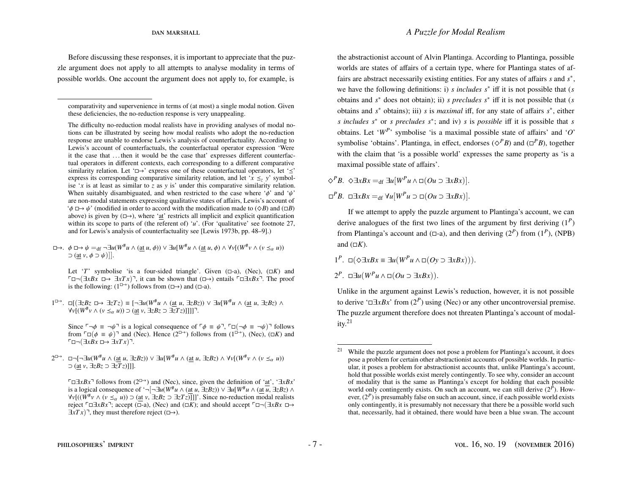Before discussing these responses, it is important to appreciate that the puzzle argument does not apply to all attempts to analyse modality in terms of possible worlds. One account the argument does not apply to, for example, is

The difficulty no-reduction modal realists have in providing analyses of modal notions can be illustrated by seeing how modal realists who adopt the no-reduction response are unable to endorse Lewis's analysis of counterfactuality. According to Lewis's account of counterfactuals, the counterfactual operator expression 'Were it the case that . . . then it would be the case that' expresses different counterfactual operators in different contexts, each corresponding to a different comparative similarity relation. Let ' $\Box \rightarrow$ ' express one of these counterfactual operators, let ' $\leq$ ' express its corresponding comparative similarity relation, and let ' $x \leq y$ ' symbolise '*x* is at least as similar to  $\overline{z}$  as  $\overline{y}$  is' under this comparative similarity relation. When suitably disambiguated, and when restricted to the case where ' $\phi$ ' and ' $\psi$ ' are non-modal statements expressing qualitative states of affairs, Lewis's account of ' $\phi \mapsto \psi'$  (modified in order to accord with the modification made to  $(\Diamond B)$  and  $(\Box B)$ ) above) is given by  $(\Box \rightarrow)$ , where 'at' restricts all implicit and explicit quantification within its scope to parts of (the referent of) '*u*'. (For 'qualitative' see footnote [27,](#page-9-0) and for Lewis's analysis of counterfactuality see [Lewis 1973b, pp. 48–9].)

 $\Box \rightarrow$ .  $\phi \Box \rightarrow \psi =_{df} \neg \exists u(W^{\#}u \land (\underline{\text{at}} u, \phi)) \lor \exists u[W^{\#}u \land (\underline{\text{at}} u, \phi) \land \forall v[(W^{\#}v \land (v \leq_{\alpha} u))]$  $\supset$  (at *v*,  $\phi$   $\supset$   $\psi$ )]].

Let '*T*' symbolise 'is a four-sided triangle'. Given  $(\Box -a)$ , (Nec),  $(\Box K)$  and  $\Box \Box (∃xBx \Box \rightarrow ∃xTx)$ , it can be shown that  $(\Box \rightarrow)$  entails  $\Box \Box xBx$ <sup>7</sup>. The proof is the following:  $(1^{\square \rightarrow})$  follows from  $(\square \rightarrow)$  and  $(\square -a)$ .

 $1^{\Box \rightarrow}$ .  $\Box$ [ $\Box$ *zBz*  $\Box \rightarrow \Box zTz$ ) ≡ [¬ $\Box$ *u*(*W*<sup>#</sup>*u* ∧ (at *u*,  $\Box zBz$ ) ∧  $\Box$ *zBz*  $\Box$  ∧ (at *u*,  $\Box zBz$ ) ∧  $\forall v[(W^{\#}v \wedge (v \leq_{\alpha} u)) \supset (\underline{at} v, \exists zBz \supset \exists \overline{z}Tz)]]]]$ .

Since  $\Gamma \neg \phi \equiv \neg \psi$ <sup> $\exists$ </sup> is a logical consequence of  $\Gamma \phi \equiv \psi$ ,  $\Gamma \Box (\neg \phi \equiv \neg \psi)$  follows from  $\ulcorner \Box (\phi \equiv \psi) \urcorner$  and (Nec). Hence (2<sup> $\Box$ </sup>) follows from (1<sup> $\Box$ </sup>), (Nec), ( $\Box K$ ) and  $\Box$ ¬( $\exists x Bx$   $\Box$ →  $\exists x T x$ ) $\Box$ .

## the abstractionist account of Alvin Plantinga. According to Plantinga, possible worlds are states of affairs of a certain type, where for Plantinga states of affairs are abstract necessarily existing entities. For any states of affairs *s* and  $s^*$ , we have the following definitions: i) *s includes s*<sup>∗</sup> iff it is not possible that (*s* obtains and *s* <sup>∗</sup> does not obtain); ii) *s precludes s*<sup>∗</sup> iff it is not possible that (*s*

obtains and *s* <sup>∗</sup> obtains); iii) *s* is *maximal* iff, for any state of affairs *s* ∗ , either *s includes s*<sup>∗</sup> or *s precludes s*<sup>∗</sup> ; and iv) *s* is *possible* iff it is possible that *s* obtains. Let ' $W^P$ ' symbolise 'is a maximal possible state of affairs' and 'O' symbolise 'obtains'. Plantinga, in effect, endorses ( $\Diamond$ <sup>*P*</sup>*B*) and ( $\Box$ <sup>*P*</sup>*B*), together with the claim that 'is a possible world' expresses the same property as 'is a maximal possible state of affairs'.

 $\diamond$ <sup>*P*</sup>*B*.  $\diamond$ ∃*xBx* =<sub>df</sub> ∃*u*[*W<sup>P</sup>u* ∧ □(*Ou* ⊃ ∃*xBx*)].

 $\Box^P B$ .  $\Box \exists x Bx =_{df} \forall u [W^P u \supset \Box(Ou \supset \exists x Bx)].$ 

If we attempt to apply the puzzle argument to Plantinga's account, we can derive analogues of the first two lines of the argument by first deriving (1*<sup>P</sup>* ) from Plantinga's account and ( $\Box$ -a), and then deriving ( $2^P$ ) from ( $1^P$ ), (NPB) and  $(\Box K)$ .

 $1^P$ . □(◇ $\exists xBx \equiv \exists u(W^P u \land \Box(Oy \supset \exists xBx))$ ).

 $2^P$ . □∃*u*( $W^P$ *u* ∧ □( $O$ *u* ⊃ ∃*xBx*)).

Unlike in the argument against Lewis's reduction, however, it is not possible to derive ' $\Box \exists x Bx$ ' from  $(2^P)$  using (Nec) or any other uncontroversial premise. The puzzle argument therefore does not threaten Plantinga's account of modal- $ity.<sup>21</sup>$  $ity.<sup>21</sup>$  $ity.<sup>21</sup>$ 

comparativity and supervenience in terms of (at most) a single modal notion. Given these deficiencies, the no-reduction response is very unappealing.

<sup>2&</sup>lt;sup>□→</sup>. □¬[¬∃*u*( $W^{\#}u \wedge (\underline{\text{at}} \ u, \exists zBz)$ ) ∨ ∃*u*[ $W^{\#}u \wedge (\underline{\text{at}} \ u, \exists zBz) \wedge \forall v[(W^{\#}v \wedge (v \leq_{\alpha} u))$ <br>
→ (at *v* ∃z*Bz* → ∃z $\overline{T}z$ )]]] ⊃ (at *v*, ∃*zBz* ⊃ ∃*zT z*)]]].

 $\Box \exists x Bx$ <sup>→</sup> follows from (2<sup> $\Box$ →</sup>) and (Nec), since, given the definition of 'at', ' $\exists x Bx$ ' is a logical consequence of ' $\neg$ [ $\neg \exists u(W^{\#}u \land (at u, \exists zBz)) \lor \exists u[W^{\#}u \land (at u, \exists zBz) \land$  $\forall v$ [(( $\overline{W}^{\#}v \wedge (v \leq_{\alpha} u)$ ) ⊃ (at *v*,  $\exists zBz$  ⊃  $\exists zTz$ )]]]'. Since no-reduction modal realists  $\forall v \in \mathbb{R}$  and  $\forall v \in \mathbb{R}$  and  $\forall v \in \mathbb{R}$  and  $\exists v \in \mathbb{R}$  and  $\exists v \in \mathbb{R}$  and  $\exists v \in \mathbb{R}$  and  $\exists v \in$ reject  $\ulcorner ⊡∃xBx$ <sup>-</sup>; accept ( $\bar{Q}$ -a), (Nec) and ( $\Box K$ ); and should accept  $\ulcorner ⊡ ¬(∃xBx □→)$  $\exists x T x$ <sup> $\exists x$ </sup>, they must therefore reject ( $\Box \rightarrow$ ).

<span id="page-7-0"></span><sup>&</sup>lt;sup>21</sup> While the puzzle argument does not pose a problem for Plantinga's account, it does pose a problem for certain other abstractionist accounts of possible worlds. In particular, it poses a problem for abstractionist accounts that, unlike Plantinga's account, hold that possible worlds exist merely contingently. To see why, consider an account of modality that is the same as Plantinga's except for holding that each possible world only contingently exists. On such an account, we can still derive  $(2^{\bar{P}})$ . However, (2*<sup>P</sup>* ) is presumably false on such an account, since, if each possible world exists only contingently, it is presumably not necessary that there be a possible world such that, necessarily, had it obtained, there would have been a blue swan. The account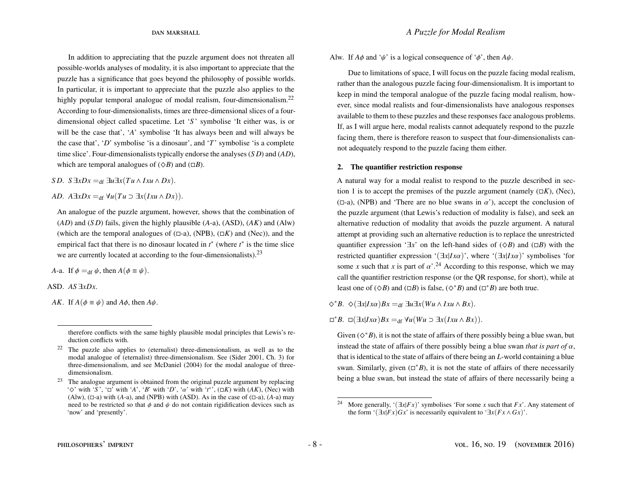In addition to appreciating that the puzzle argument does not threaten all possible-worlds analyses of modality, it is also important to appreciate that the puzzle has a significance that goes beyond the philosophy of possible worlds. In particular, it is important to appreciate that the puzzle also applies to the highly popular temporal analogue of modal realism, four-dimensionalism.<sup>[22](#page-8-1)</sup> According to four-dimensionalists, times are three-dimensional slices of a fourdimensional object called spacetime. Let '*S* ' symbolise 'It either was, is or will be the case that', '*A*' symbolise 'It has always been and will always be the case that', '*D*' symbolise 'is a dinosaur', and '*T*' symbolise 'is a complete time slice'. Four-dimensionalists typically endorse the analyses (*S D*) and (*AD*), which are temporal analogues of  $(\Diamond B)$  and  $(\Box B)$ .

*SD.*  $S \exists x Dx =_{df} \exists u \exists x (Tu \land Ixu \land Dx).$ 

*AD.*  $A \exists x Dx =_{df} \forall u (Tu \supset \exists x (Ixu \wedge Dx)).$ 

An analogue of the puzzle argument, however, shows that the combination of (*AD*) and (*S D*) fails, given the highly plausible (*A*-a), (ASD), (*AK*) and (Alw) (which are the temporal analogues of  $(\square -a)$ , (NPB),  $(\square K)$  and (Nec)), and the empirical fact that there is no dinosaur located in  $t^*$  (where  $t^*$  is the time slice we are currently located at according to the four-dimensionalists).<sup>[23](#page-8-2)</sup>

*A*-a. If  $\phi =_{df} \psi$ , then  $A(\phi \equiv \psi)$ .

ASD. *AS* ∃*xDx*.

*AK*. If  $A(\phi \equiv \psi)$  and  $A\phi$ , then  $A\psi$ .

Alw. If  $A\phi$  and ' $\psi$ ' is a logical consequence of ' $\phi$ ', then  $A\psi$ .

Due to limitations of space, I will focus on the puzzle facing modal realism, rather than the analogous puzzle facing four-dimensionalism. It is important to keep in mind the temporal analogue of the puzzle facing modal realism, however, since modal realists and four-dimensionalists have analogous responses available to them to these puzzles and these responses face analogous problems. If, as I will argue here, modal realists cannot adequately respond to the puzzle facing them, there is therefore reason to suspect that four-dimensionalists cannot adequately respond to the puzzle facing them either.

### <span id="page-8-0"></span>2. The quantifier restriction response

A natural way for a modal realist to respond to the puzzle described in sec-tion [1](#page-1-1) is to accept the premises of the puzzle argument (namely  $(\Box K)$ , (Nec), ( $\Box$ -a), (NPB) and 'There are no blue swans in  $\alpha'$ ), accept the conclusion of the puzzle argument (that Lewis's reduction of modality is false), and seek an alternative reduction of modality that avoids the puzzle argument. A natural attempt at providing such an alternative reduction is to replace the unrestricted quantifier expression ' $\exists x$ ' on the left-hand sides of ( $\Diamond B$ ) and ( $\Box B$ ) with the restricted quantifier expression '( $\exists x | I x \alpha$ )', where '( $\exists x | I x \alpha$ )' symbolises 'for some *x* such that *x* is part of  $\alpha^{2,24}$  $\alpha^{2,24}$  $\alpha^{2,24}$  According to this response, which we may call the quantifier restriction response (or the QR response, for short), while at least one of  $(\Diamond B)$  and  $(\Box B)$  is false,  $(\Diamond^* B)$  and  $(\Box^* B)$  are both true.

 $\diamondsuit$ <sup>\*</sup>*B*.  $\diamond$ ( $\exists x$ |*Ix*α)*Bx* =df  $\exists u \exists x$ (*Wu* ∧ *Ixu* ∧ *Bx*).

 $\Box^*B$ .  $\Box(\exists x | Ix\alpha)Bx =_{df} \forall u(Wu \supset \exists x (Ixu \wedge Bx)).$ 

Given  $(\diamond^* B)$ , it is not the state of affairs of there possibly being a blue swan, but instead the state of affairs of there possibly being a blue swan *that is part of*  $\alpha$ , that is identical to the state of affairs of there being an *L*-world containing a blue swan. Similarly, given  $(\Box^*B)$ , it is not the state of affairs of there necessarily being a blue swan, but instead the state of affairs of there necessarily being a

therefore conflicts with the same highly plausible modal principles that Lewis's reduction conflicts with.

<span id="page-8-1"></span><sup>22</sup> The puzzle also applies to (eternalist) three-dimensionalism, as well as to the modal analogue of (eternalist) three-dimensionalism. See [\(Sider](#page-24-9) [2001,](#page-24-9) Ch. 3) for three-dimensionalism, and see [McDaniel](#page-24-1) [\(2004\)](#page-24-1) for the modal analogue of threedimensionalism.

<span id="page-8-2"></span> $23$  The analogue argument is obtained from the original puzzle argument by replacing ' $\Diamond'$  with '*S*', ' $\Box'$  with '*A*', '*B*' with '*D*', ' $\alpha'$  with '*t*<sup>\*</sup>', ( $\Box K$ ) with (*AK*), (Nec) with (*A*Iw) ( $\Box$ -a) with (*A*-a) and (NPR) with (*ASD*). As in the case of ( $\Box$ -a) (*A-a*) may (Alw),  $(\Box -a)$  with (*A*-a), and (NPB) with (*ASD*). As in the case of  $(\Box -a)$ , (*A*-a) may need to be restricted so that  $\phi$  and  $\psi$  do not contain rigidification devices such as 'now' and 'presently'.

<span id="page-8-3"></span>More generally, ' $(\exists x | Fx)$ ' symbolises 'For some *x* such that  $Fx'$ . Any statement of the form ' $(\exists x | Fx)Gx$ ' is necessarily equivalent to ' $\exists x (Fx \wedge Gx)$ '.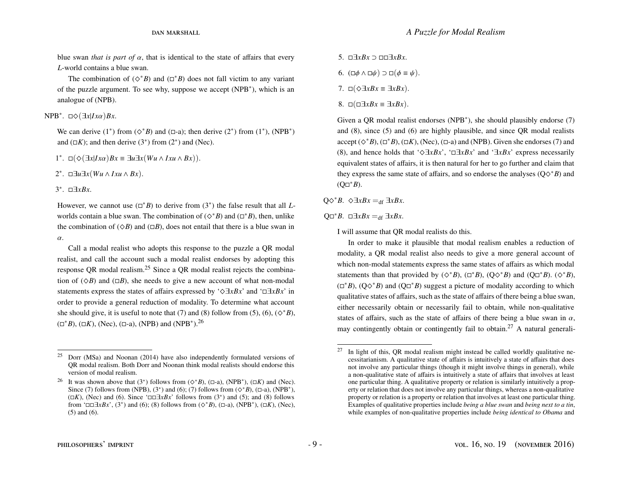blue swan *that is part of*  $\alpha$ , that is identical to the state of affairs that every *L*-world contains a blue swan.

The combination of  $(\diamond^* B)$  and  $(\Box^* B)$  does not fall victim to any variant of the puzzle argument. To see why, suppose we accept (NPB<sup>∗</sup> ), which is an analogue of (NPB).

 $NPB<sup>*</sup>$ . □◇(∃*x*|*Ixα*)*Bx*.

We can derive  $(1^*)$  from  $(\diamond^*B)$  and  $(\square \text{-a})$ ; then derive  $(2^*)$  from  $(1^*)$ ,  $(NPB^*)$ and  $(\Box K)$ ; and then derive  $(3^*)$  from  $(2^*)$  and (Nec).

1<sup>∗</sup>. □(◇(∃*x*|*Ixα*)*Bx* ≡ ∃*u*∃*x*(*Wu* ∧ *Ixu* ∧ *Bx*)).

2<sup>∗</sup>. □∃*u*∃*x*(*Wu* ∧ *Ixu* ∧ *Bx*).

3 ∗ . ∃*xBx*.

However, we cannot use  $(\Box^* B)$  to derive from  $(3^*)$  the false result that all *L*worlds contain a blue swan. The combination of  $(\diamond^* B)$  and  $(\square^* B)$ , then, unlike the combination of  $(\Diamond B)$  and  $(\Box B)$ , does not entail that there is a blue swan in α.

Call a modal realist who adopts this response to the puzzle a QR modal realist, and call the account such a modal realist endorses by adopting this response QR modal realism.[25](#page-9-1) Since a QR modal realist rejects the combination of  $(\Diamond B)$  and  $(\Box B)$ , she needs to give a new account of what non-modal statements express the states of affairs expressed by ' $\Diamond \exists xBx'$  and ' $\Box \exists xBx'$  in order to provide a general reduction of modality. To determine what account she should give, it is useful to note that [\(7\)](#page-9-2) and [\(8\)](#page-9-3) follow from [\(5\)](#page-9-4), [\(6\)](#page-9-5),  $(\diamond^*B)$ ,  $(\Box^* B)$ ,  $(\Box K)$ , (Nec),  $(\Box \text{-a})$ , (NPB) and (NPB<sup>\*</sup>).<sup>[26](#page-9-6)</sup>

<span id="page-9-5"></span><span id="page-9-4"></span><span id="page-9-2"></span>5.  $\Box \exists x Bx \supset \Box \Box \exists x Bx$ . 6.  $(\Box \phi \land \Box \psi) \supset \Box (\phi \equiv \psi)$ . 7.  $\square(\diamond \exists x Bx \equiv \exists xBx)$ . 8.  $□(□∃*xBx* ≡ ∃*xBx*).$ 

<span id="page-9-3"></span>Given a QR modal realist endorses (NPB<sup>∗</sup> ), she should plausibly endorse [\(7\)](#page-9-2) and [\(8\)](#page-9-3), since [\(5\)](#page-9-4) and [\(6\)](#page-9-5) are highly plausible, and since QR modal realists accept  $(\diamond^* B)$ ,  $(\Box^* B)$ ,  $(\Box K)$ , (Nec),  $(\Box \neg a)$  and (NPB). Given she endorses [\(7\)](#page-9-2) and [\(8\)](#page-9-3), and hence holds that ' $\Diamond \exists xBx'$ , ' $\Box \exists xBx'$ ' and ' $\exists xBx'$ ' express necessarily equivalent states of affairs, it is then natural for her to go further and claim that they express the same state of affairs, and so endorse the analyses  $(Q\diamond$ <sup>\*</sup>*B*) and  $(Q\Box B^).$ 

 $Q\diamond^*B$ .  $\diamond \exists xBx =_{df} \exists xBx$ .

 $Q\square$ <sup>\*</sup>*B*.  $\square \exists xBx =_{df} \exists xBx$ .

I will assume that QR modal realists do this.

In order to make it plausible that modal realism enables a reduction of modality, a QR modal realist also needs to give a more general account of which non-modal statements express the same states of affairs as which modal statements than that provided by  $(\diamond^* B)$ ,  $(\Box^* B)$ ,  $(Q \diamond^* B)$  and  $(Q \Box^* B)$ .  $(\diamond^* B)$ ,  $(\Box^* B)$ ,  $(Q \Diamond^* B)$  and  $(Q \Box^* B)$  suggest a picture of modality according to which qualitative states of affairs, such as the state of affairs of there being a blue swan, either necessarily obtain or necessarily fail to obtain, while non-qualitative states of affairs, such as the state of affairs of there being a blue swan in  $\alpha$ , may contingently obtain or contingently fail to obtain.<sup>[27](#page-9-0)</sup> A natural generali-

<span id="page-9-1"></span> $25$  [Dorr](#page-23-5) [\(MSa\)](#page-23-5) and [Noonan](#page-24-6) [\(2014\)](#page-24-6) have also independently formulated versions of QR modal realism. Both Dorr and Noonan think modal realists should endorse this version of modal realism.

<span id="page-9-6"></span><sup>&</sup>lt;sup>26</sup> It was shown above that (3<sup>\*</sup>) follows from ( $\diamond$ <sup>\*</sup>*B*), ( $\Box$ -a), (NPB<sup>\*</sup>), ( $\Box$ *K*) and (Nec). Since [\(7\)](#page-9-2) follows from (NPB),  $(3^*)$  and [\(6\)](#page-9-5); (7) follows from ( $\Diamond^*B$ ), ( $\Box$ -a), (NPB<sup>\*</sup>),  $(⊓K)$ , (Nec) and [\(6\)](#page-9-5). Since ' $□□**xBx**$ ' follows from (3<sup>\*</sup>) and [\(5\)](#page-9-4); and [\(8\)](#page-9-3) follows from ' $\Box \Box \exists x Bx$ ', (3<sup>\*</sup>) and [\(6\)](#page-9-5); [\(8\)](#page-9-3) follows from ( $\diamond$ <sup>\*</sup>*B*), ( $\Box$ -a), (NPB<sup>\*</sup>), ( $\Box K$ ), (Nec), [\(5\)](#page-9-4) and [\(6\)](#page-9-5).

<span id="page-9-0"></span> $27$  In light of this, OR modal realism might instead be called worldly qualitative necessitarianism. A qualitative state of affairs is intuitively a state of affairs that does not involve any particular things (though it might involve things in general), while a non-qualitative state of affairs is intuitively a state of affairs that involves at least one particular thing. A qualitative property or relation is similarly intuitively a property or relation that does not involve any particular things, whereas a non-qualitative property or relation is a property or relation that involves at least one particular thing. Examples of qualitative properties include *being a blue swan* and *being next to a tin*, while examples of non-qualitative properties include *being identical to Obama* and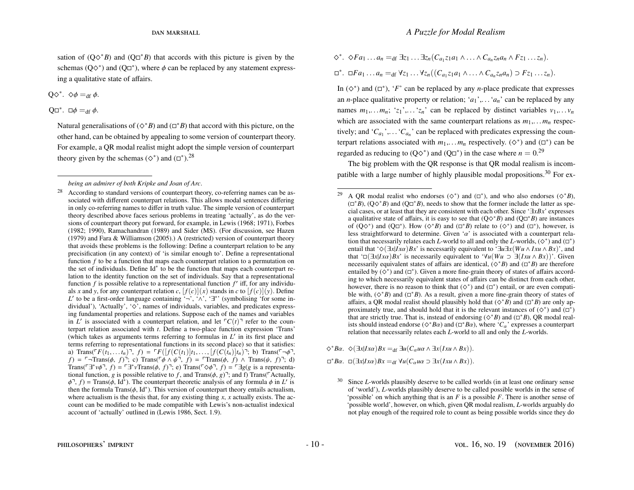sation of  $(Q \Diamond B^* B)$  and  $(Q \Box B^* B)$  that accords with this picture is given by the schemas (Q $\diamond^*$ ) and (Q $\square^*$ ), where  $\phi$  can be replaced by any statement expressing a qualitative state of affairs.

 $Q\diamond^*$ .  $\diamond \phi =_{df} \phi$ .

Q $\Box^*$ .  $\Box \phi =_{df} \phi$ .

Natural generalisations of  $(\diamond^*B)$  and  $(\square^*B)$  that accord with this picture, on the other hand, can be obtained by appealing to some version of counterpart theory. For example, a QR modal realist might adopt the simple version of counterpart theory given by the schemas ( $\diamond$ <sup>\*</sup>) and ( $\square$ <sup>\*</sup>).<sup>[28](#page-10-0)</sup>

$$
\diamond^*.\ \diamond Fa_1\ldots a_n =_{df} \exists z_1\ldots \exists z_n (C_{a_1}z_1a_1\wedge\ldots\wedge C_{a_n}z_na_n\wedge Fz_1\ldots z_n).
$$

 $\Box^*$ .  $\Box Fa_1 \ldots a_n =_{df} \forall z_1 \ldots \forall z_n ((C_{a_1}z_1a_1 \land \ldots \land C_{a_n}z_na_n) \supset Fz_1 \ldots z_n).$ 

In  $(\diamond^*)$  and  $(\Box^*)$ , '*F*' can be replaced by any *n*-place predicate that expresses an *n*-place qualitative property or relation; ' $a_1$ ',... ' $a_n$ ' can be replaced by any names  $m_1, \ldots, m_n$ ; ' $z_1$ ',...' $z_n$ ' can be replaced by distinct variables  $v_1, \ldots, v_n$ which are associated with the same counterpart relations as  $m_1, \ldots, m_n$  respectively; and ' $C_{a_1}$ ',... ' $C_{a_n}$ ' can be replaced with predicates expressing the counterpart relations associated with  $m_1, \ldots, m_n$  respectively. ( $\diamond^*$ ) and ( $\square^*$ ) can be regarded as reducing to  $(Q\diamond^*)$  and  $(Q \Box^*)$  in the case where  $n = 0$ .<sup>[29](#page-10-1)</sup>

The big problem with the QR response is that QR modal realism is incom-patible with a large number of highly plausible modal propositions.<sup>[30](#page-10-2)</sup> For ex-

 $\diamondsuit^*B\alpha$ .  $\diamondsuit(\exists x | I x \alpha) Bx =_{df} \exists u(C_\alpha u \alpha \wedge \exists x (Ixu \wedge Bx)).$ 

 $\Box^* B\alpha$ .  $\Box(\exists x | Ix\alpha)Bx =_{df} \forall u(C_\alpha u\alpha \supset \exists x(Ixu \wedge Bx)).$ 

*being an admirer of both Kripke and Joan of Arc*.

<span id="page-10-0"></span><sup>&</sup>lt;sup>28</sup> According to standard versions of counterpart theory, co-referring names can be associated with different counterpart relations. This allows modal sentences differing in only co-referring names to differ in truth value. The simple version of counterpart theory described above faces serious problems in treating 'actually', as do the versions of counterpart theory put forward, for example, in [Lewis](#page-24-10) [\(1968;](#page-24-10) [1971\)](#page-24-11), [Forbes](#page-23-8) [\(1982;](#page-23-8) [1990\)](#page-24-12), [Ramachandran](#page-24-13) [\(1989\)](#page-24-13) and [Sider](#page-24-14) [\(MS\)](#page-24-14). (For discussion, see [Hazen](#page-24-15) [\(1979\)](#page-24-15) and [Fara & Williamson](#page-23-9) [\(2005\)](#page-23-9).) A (restricted) version of counterpart theory that avoids these problems is the following: Define a counterpart relation to be any precisification (in any context) of 'is similar enough to'. Define a representational function *f* to be a function that maps each counterpart relation to a permutation on the set of individuals. Define Id<sup>∗</sup> to be the function that maps each counterpart relation to the identity function on the set of individuals. Say that a representational function  $f$  is possible relative to a representational function  $f'$  iff, for any individuals *x* and *y*, for any counterpart relation *c*,  $[f(c)](x)$  stands in *c* to  $[f(c)](y)$ . Define L' to be a first-order language containing '¬', ' $\wedge$ ', '∃<sup>\*</sup>' (symbolising 'for some individual'), 'Actually', ' $\diamondsuit'$ , names of individuals, variables, and predicates expressing fundamental properties and relations. Suppose each of the names and variables in  $L'$  is associated with a counterpart relation, and let  $\lceil C(t) \rceil$  refer to the counterpart relation associated with *t*. Define a two-place function expression 'Trans' (which takes as arguments terms referring to formulas in  $L'$  in its first place and terms referring to representational functions in its second place) so that it satisfies: a) Trans( $\Gamma F(t_1, \ldots t_n)$ ,  $f$ ) =  $\Gamma F([f(C(t_1)|t_1, \ldots, [f(C(t_n)|t_n)]$ ; b) Trans( $\Gamma \rightarrow \phi$ ), *f*) =  $\ulcorner$ ¬Trans( $\phi$ , *f*) $\urcorner$ ; c) Trans( $\phi \land \psi$  $\urcorner$ , *f*) =  $\ulcorner$ Trans( $\phi$ , *f*) ∧ Trans( $\psi$ , *f*) $\urcorner$ ; d) Trans( $\nabla \vec{a}^* \psi \vec{a}^T$ ,  $f$ ) =  $\nabla \vec{a}^* \psi$ Trans( $\phi$ ,  $f$ ) $\vec{a}$ ; e) Trans( $\nabla \phi \vec{a}$ ,  $f$ ) =  $\nabla \vec{a}$  is a representa-<br>tional function *g* is possible relative to *f* and Trans( $\phi$ )<sup>-1</sup> and f) Trans( $\nabla$ Ac tional function, *g* is possible relative to *f*, and Trans( $\phi$ , *g*)<sup> $\exists$ ; and f) Trans( $\ulcorner$ Actually,</sup>  $\phi^T$ ,  $f$ ) = Trans( $\phi$ , Id<sup>\*</sup>). The counterpart theoretic analysis of any formula  $\phi$  in *L'* is then the formula Trans( $\phi$  Id<sup>\*</sup>). This version of counterpart theory entails actualism then the formula Trans( $\phi$ , Id<sup>\*</sup>). This version of counterpart theory entails actualism, where actualism is the thesis that for any existing thing x x actually exists. The acwhere actualism is the thesis that, for any existing thing *x*, *x* actually exists. The account can be modified to be made compatible with Lewis's non-actualist indexical account of 'actually' outlined in [\(Lewis](#page-24-0) [1986,](#page-24-0) Sect. 1.9).

<span id="page-10-1"></span><sup>&</sup>lt;sup>29</sup> A QR modal realist who endorses ( $\diamond$ <sup>\*</sup>) and ( $\square$ <sup>\*</sup>), and who also endorses ( $\diamond$ <sup>\*</sup>*B*),  $(\Box^*B)$ ,  $(Q\Diamond^*B)$  and  $(Q\Box^*B)$ , needs to show that the former include the latter as special cases, or at least that they are consistent with each other. Since '∃*xBx*' expresses a qualitative state of affairs, it is easy to see that  $(Q \Diamond B)$  and  $(Q \Box B)$  are instances of  $(Q\Diamond^*)$  and  $(Q\Box^*)$ . How  $(\Diamond^*B)$  and  $(\Box^*B)$  relate to  $(\Diamond^*)$  and  $(\Box^*)$ , however, is less straightforward to determine. Given ' $\alpha$ ' is associated with a counterpart relation that necessarily relates each *L*-world to all and only the *L*-worlds,  $(\diamond^*)$  and  $(\Box^*)$ entail that ' $\Diamond(\exists x | Ix\alpha)Bx$ ' is necessarily equivalent to ' $\exists u\exists x(Wu \land Ixu \land Bx)$ ', and that ' $\Box$ ( $\exists x | I x \alpha$ )*Bx*' is necessarily equivalent to ' $\forall u (Wu \supset \exists (Ixu \wedge Bx))$ '. Given necessarily equivalent states of affairs are identical,  $(\diamond^* B)$  and  $(\square^* B)$  are therefore entailed by  $(\diamond^*)$  and  $(\Box^*)$ . Given a more fine-grain theory of states of affairs according to which necessarily equivalent states of affairs can be distinct from each other, however, there is no reason to think that  $(\Diamond^*)$  and  $(\Box^*)$  entail, or are even compatible with,  $(\diamond^*B)$  and  $(\Box^*B)$ . As a result, given a more fine-grain theory of states of affairs, a QR modal realist should plausibly hold that  $(\diamond^* B)$  and  $(\Box^* B)$  are only approximately true, and should hold that it is the relevant instances of  $(\diamond^*)$  and  $(\Box^*)$ that are strictly true. That is, instead of endorsing ( $\Diamond^*B$ ) and ( $\Box^*B$ ), QR modal realists should instead endorse ( $\Diamond^*B\alpha$ ) and ( $\Box^*B\alpha$ ), where ' $C_\alpha$ ' expresses a counterpart relation that necessarily relates each *L*-world to all and only the *L*-worlds relation that necessarily relates each *L*-world to all and only the *L*-worlds.

<span id="page-10-2"></span><sup>30</sup> Since *L*-worlds plausibly deserve to be called worlds (in at least one ordinary sense of 'world'), *L*-worlds plausibly deserve to be called possible worlds in the sense of 'possible' on which anything that is an *F* is a possible *F*. There is another sense of 'possible world', however, on which, given QR modal realism, *L*-worlds arguably do not play enough of the required role to count as being possible worlds since they do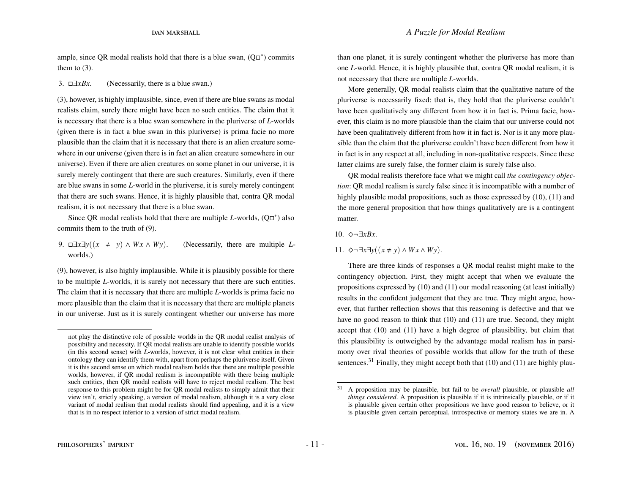### dan marshall *A Puzzle for Modal Realism*

ample, since QR modal realists hold that there is a blue swan,  $(Q\Box^*)$  commits them to  $(3)$ .

[3.](#page-5-3)  $\Box \exists x Bx$ . (Necessarily, there is a blue swan.)

[\(3\)](#page-5-3), however, is highly implausible, since, even if there are blue swans as modal realists claim, surely there might have been no such entities. The claim that it is necessary that there is a blue swan somewhere in the pluriverse of *L*-worlds (given there is in fact a blue swan in this pluriverse) is prima facie no more plausible than the claim that it is necessary that there is an alien creature somewhere in our universe (given there is in fact an alien creature somewhere in our universe). Even if there are alien creatures on some planet in our universe, it is surely merely contingent that there are such creatures. Similarly, even if there are blue swans in some *L*-world in the pluriverse, it is surely merely contingent that there are such swans. Hence, it is highly plausible that, contra QR modal realism, it is not necessary that there is a blue swan.

Since QR modal realists hold that there are multiple  $L$ -worlds,  $(Q\Box^*)$  also commits them to the truth of [\(9\)](#page-11-0).

<span id="page-11-0"></span>9.  $\Box \exists x \exists y((x \neq y) \land Wx \land Wy)$ . (Necessarily, there are multiple *L*worlds.)

[\(9\)](#page-11-0), however, is also highly implausible. While it is plausibly possible for there to be multiple *L*-worlds, it is surely not necessary that there are such entities. The claim that it is necessary that there are multiple *L*-worlds is prima facie no more plausible than the claim that it is necessary that there are multiple planets in our universe. Just as it is surely contingent whether our universe has more than one planet, it is surely contingent whether the pluriverse has more than one *L*-world. Hence, it is highly plausible that, contra QR modal realism, it is not necessary that there are multiple *L*-worlds.

More generally, QR modal realists claim that the qualitative nature of the pluriverse is necessarily fixed: that is, they hold that the pluriverse couldn't have been qualitatively any different from how it in fact is. Prima facie, however, this claim is no more plausible than the claim that our universe could not have been qualitatively different from how it in fact is. Nor is it any more plausible than the claim that the pluriverse couldn't have been different from how it in fact is in any respect at all, including in non-qualitative respects. Since these latter claims are surely false, the former claim is surely false also.

QR modal realists therefore face what we might call *the contingency objection*: QR modal realism is surely false since it is incompatible with a number of highly plausible modal propositions, such as those expressed by [\(10\)](#page-11-1), [\(11\)](#page-11-2) and the more general proposition that how things qualitatively are is a contingent matter.

### <span id="page-11-1"></span>10. ^¬∃*xBx*.

### <span id="page-11-2"></span>11.  $\diamond$ ¬∃*x*∃*y*((*x* ≠ *y*) ∧ *Wx* ∧ *Wy*).

There are three kinds of responses a QR modal realist might make to the contingency objection. First, they might accept that when we evaluate the propositions expressed by [\(10\)](#page-11-1) and [\(11\)](#page-11-2) our modal reasoning (at least initially) results in the confident judgement that they are true. They might argue, however, that further reflection shows that this reasoning is defective and that we have no good reason to think that [\(10\)](#page-11-1) and [\(11\)](#page-11-2) are true. Second, they might accept that [\(10\)](#page-11-1) and [\(11\)](#page-11-2) have a high degree of plausibility, but claim that this plausibility is outweighed by the advantage modal realism has in parsimony over rival theories of possible worlds that allow for the truth of these sentences.<sup>[31](#page-11-3)</sup> Finally, they might accept both that  $(10)$  and  $(11)$  are highly plau-

not play the distinctive role of possible worlds in the QR modal realist analysis of possibility and necessity. If QR modal realists are unable to identify possible worlds (in this second sense) with *L*-worlds, however, it is not clear what entities in their ontology they can identify them with, apart from perhaps the pluriverse itself. Given it is this second sense on which modal realism holds that there are multiple possible worlds, however, if QR modal realism is incompatible with there being multiple such entities, then QR modal realists will have to reject modal realism. The best response to this problem might be for QR modal realists to simply admit that their view isn't, strictly speaking, a version of modal realism, although it is a very close variant of modal realism that modal realists should find appealing, and it is a view that is in no respect inferior to a version of strict modal realism.

<span id="page-11-3"></span><sup>31</sup> A proposition may be plausible, but fail to be *overall* plausible, or plausible *all things considered*. A proposition is plausible if it is intrinsically plausible, or if it is plausible given certain other propositions we have good reason to believe, or it is plausible given certain perceptual, introspective or memory states we are in. A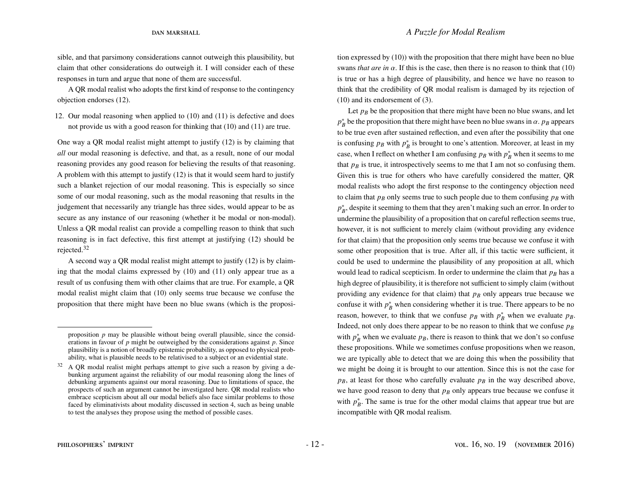sible, and that parsimony considerations cannot outweigh this plausibility, but claim that other considerations do outweigh it. I will consider each of these responses in turn and argue that none of them are successful.

A QR modal realist who adopts the first kind of response to the contingency objection endorses [\(12\)](#page-12-0).

<span id="page-12-0"></span>12. Our modal reasoning when applied to [\(10\)](#page-11-1) and [\(11\)](#page-11-2) is defective and does not provide us with a good reason for thinking that [\(10\)](#page-11-1) and [\(11\)](#page-11-2) are true.

One way a QR modal realist might attempt to justify [\(12\)](#page-12-0) is by claiming that *all* our modal reasoning is defective, and that, as a result, none of our modal reasoning provides any good reason for believing the results of that reasoning. A problem with this attempt to justify [\(12\)](#page-12-0) is that it would seem hard to justify such a blanket rejection of our modal reasoning. This is especially so since some of our modal reasoning, such as the modal reasoning that results in the judgement that necessarily any triangle has three sides, would appear to be as secure as any instance of our reasoning (whether it be modal or non-modal). Unless a QR modal realist can provide a compelling reason to think that such reasoning is in fact defective, this first attempt at justifying [\(12\)](#page-12-0) should be rejected.[32](#page-12-1)

A second way a QR modal realist might attempt to justify [\(12\)](#page-12-0) is by claiming that the modal claims expressed by [\(10\)](#page-11-1) and [\(11\)](#page-11-2) only appear true as a result of us confusing them with other claims that are true. For example, a QR modal realist might claim that [\(10\)](#page-11-1) only seems true because we confuse the proposition that there might have been no blue swans (which is the proposition expressed by  $(10)$ ) with the proposition that there might have been no blue swans *that are in*  $\alpha$ . If this is the case, then there is no reason to think that [\(10\)](#page-11-1) is true or has a high degree of plausibility, and hence we have no reason to think that the credibility of QR modal realism is damaged by its rejection of [\(10\)](#page-11-1) and its endorsement of [\(3\)](#page-5-3).

Let  $p_B$  be the proposition that there might have been no blue swans, and let  $p_b^*$  be the proposition that there might have been no blue swans in  $\alpha$ .  $p_b$  appears to be true even after sustained reflection, and even after the possibility that one is confusing  $p_B$  with  $p_B^*$  is brought to one's attention. Moreover, at least in my case, when I reflect on whether I am confusing  $p_B$  with  $p_B^*$  when it seems to me that  $p_B$  is true, it introspectively seems to me that I am not so confusing them. Given this is true for others who have carefully considered the matter, QR modal realists who adopt the first response to the contingency objection need to claim that  $p_B$  only seems true to such people due to them confusing  $p_B$  with *p*<sup>\*</sup><sub>*B*</sub>, despite it seeming to them that they aren't making such an error. In order to undermine the plausibility of a proposition that on careful reflection seems true, however, it is not sufficient to merely claim (without providing any evidence for that claim) that the proposition only seems true because we confuse it with some other proposition that is true. After all, if this tactic were sufficient, it could be used to undermine the plausibility of any proposition at all, which would lead to radical scepticism. In order to undermine the claim that  $p_B$  has a high degree of plausibility, it is therefore not sufficient to simply claim (without providing any evidence for that claim) that *p<sup>B</sup>* only appears true because we confuse it with  $p_B^*$  when considering whether it is true. There appears to be no reason, however, to think that we confuse  $p_B$  with  $p_B^*$  when we evaluate  $p_B$ . Indeed, not only does there appear to be no reason to think that we confuse *p<sup>B</sup>* with  $p_B^*$  when we evaluate  $p_B$ , there is reason to think that we don't so confuse these propositions. While we sometimes confuse propositions when we reason, we are typically able to detect that we are doing this when the possibility that we might be doing it is brought to our attention. Since this is not the case for  $p_B$ , at least for those who carefully evaluate  $p_B$  in the way described above, we have good reason to deny that  $p_B$  only appears true because we confuse it with  $p_B^*$ . The same is true for the other modal claims that appear true but are incompatible with QR modal realism.

proposition  $p$  may be plausible without being overall plausible, since the considerations in favour of *p* might be outweighed by the considerations against *p*. Since plausibility is a notion of broadly epistemic probability, as opposed to physical probability, what is plausible needs to be relativised to a subject or an evidential state.

<span id="page-12-1"></span> $32$  A QR modal realist might perhaps attempt to give such a reason by giving a debunking argument against the reliability of our modal reasoning along the lines of debunking arguments against our moral reasoning. Due to limitations of space, the prospects of such an argument cannot be investigated here. QR modal realists who embrace scepticism about all our modal beliefs also face similar problems to those faced by eliminativists about modality discussed in section [4,](#page-20-0) such as being unable to test the analyses they propose using the method of possible cases.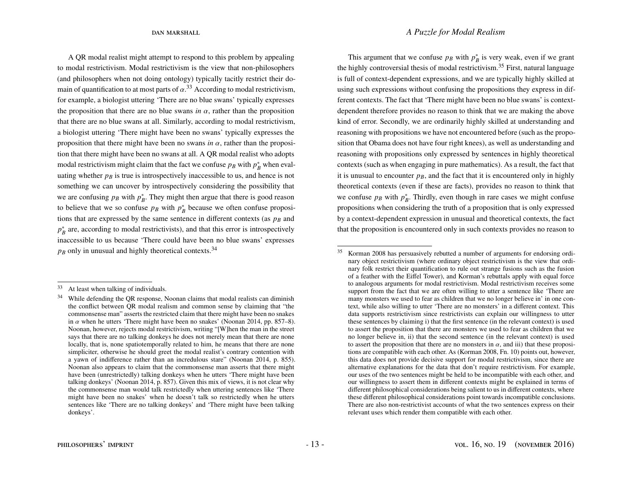A QR modal realist might attempt to respond to this problem by appealing to modal restrictivism. Modal restrictivism is the view that non-philosophers (and philosophers when not doing ontology) typically tacitly restrict their domain of quantification to at most parts of  $\alpha$ <sup>[33](#page-13-0)</sup> According to modal restrictivism, for example, a biologist uttering 'There are no blue swans' typically expresses the proposition that there are no blue swans *in*  $\alpha$ , rather than the proposition that there are no blue swans at all. Similarly, according to modal restrictivism, a biologist uttering 'There might have been no swans' typically expresses the proposition that there might have been no swans  $in \alpha$ , rather than the proposition that there might have been no swans at all. A QR modal realist who adopts modal restrictivism might claim that the fact we confuse  $p_B$  with  $p_B^*$  when evaluating whether  $p_B$  is true is introspectively inaccessible to us, and hence is not something we can uncover by introspectively considering the possibility that we are confusing  $p_B$  with  $p_B^*$ . They might then argue that there is good reason to believe that we so confuse  $p_B$  with  $p_B^*$  because we often confuse propositions that are expressed by the same sentence in different contexts (as *p<sup>B</sup>* and  $p_B^*$  are, according to modal restrictivists), and that this error is introspectively inaccessible to us because 'There could have been no blue swans' expresses  $p_B$  only in unusual and highly theoretical contexts.<sup>[34](#page-13-1)</sup>

This argument that we confuse  $p_B$  with  $p_B^*$  is very weak, even if we grant the highly controversial thesis of modal restrictivism.<sup>[35](#page-13-2)</sup> First, natural language is full of context-dependent expressions, and we are typically highly skilled at using such expressions without confusing the propositions they express in different contexts. The fact that 'There might have been no blue swans' is contextdependent therefore provides no reason to think that we are making the above kind of error. Secondly, we are ordinarily highly skilled at understanding and reasoning with propositions we have not encountered before (such as the proposition that Obama does not have four right knees), as well as understanding and reasoning with propositions only expressed by sentences in highly theoretical contexts (such as when engaging in pure mathematics). As a result, the fact that it is unusual to encounter  $p_B$ , and the fact that it is encountered only in highly theoretical contexts (even if these are facts), provides no reason to think that we confuse  $p_B$  with  $p_B^*$ . Thirdly, even though in rare cases we might confuse propositions when considering the truth of a proposition that is only expressed by a context-dependent expression in unusual and theoretical contexts, the fact that the proposition is encountered only in such contexts provides no reason to

<span id="page-13-0"></span><sup>33</sup> At least when talking of individuals.

<span id="page-13-1"></span><sup>&</sup>lt;sup>34</sup> While defending the QR response, Noonan claims that modal realists can diminish the conflict between QR modal realism and common sense by claiming that "the commonsense man" asserts the restricted claim that there might have been no snakes in  $\alpha$  when he utters 'There might have been no snakes' [\(Noonan](#page-24-6) [2014,](#page-24-6) pp. 857–8). Noonan, however, rejects modal restrictivism, writing "[W]hen the man in the street says that there are no talking donkeys he does not merely mean that there are none locally, that is, none spatiotemporally related to him, he means that there are none simpliciter, otherwise he should greet the modal realist's contrary contention with a yawn of indifference rather than an incredulous stare" [\(Noonan](#page-24-6) [2014,](#page-24-6) p. 855). Noonan also appears to claim that the commonsense man asserts that there might have been (unrestrictedly) talking donkeys when he utters 'There might have been talking donkeys' [\(Noonan](#page-24-6) [2014,](#page-24-6) p. 857). Given this mix of views, it is not clear why the commonsense man would talk restrictedly when uttering sentences like 'There might have been no snakes' when he doesn't talk so restrictedly when he utters sentences like 'There are no talking donkeys' and 'There might have been talking donkeys'.

<span id="page-13-2"></span><sup>35</sup> Korman [2008](#page-24-16) has persuasively rebutted a number of arguments for endorsing ordinary object restrictivism (where ordinary object restrictivism is the view that ordinary folk restrict their quantification to rule out strange fusions such as the fusion of a feather with the Eiffel Tower), and Korman's rebuttals apply with equal force to analogous arguments for modal restrictivism. Modal restrictivism receives some support from the fact that we are often willing to utter a sentence like 'There are many monsters we used to fear as children that we no longer believe in' in one context, while also willing to utter 'There are no monsters' in a different context. This data supports restrictivism since restrictivists can explain our willingness to utter these sentences by claiming i) that the first sentence (in the relevant context) is used to assert the proposition that there are monsters we used to fear as children that we no longer believe in, ii) that the second sentence (in the relevant context) is used to assert the proposition that there are no monsters in  $\alpha$ , and iii) that these propositions are compatible with each other. As [\(Korman](#page-24-16) [2008,](#page-24-16) Fn. 10) points out, however, this data does not provide decisive support for modal restrictivism, since there are alternative explanations for the data that don't require restrictivism. For example, our uses of the two sentences might be held to be incompatible with each other, and our willingness to assert them in different contexts might be explained in terms of different philosophical considerations being salient to us in different contexts, where these different philosophical considerations point towards incompatible conclusions. There are also non-restrictivist accounts of what the two sentences express on their relevant uses which render them compatible with each other.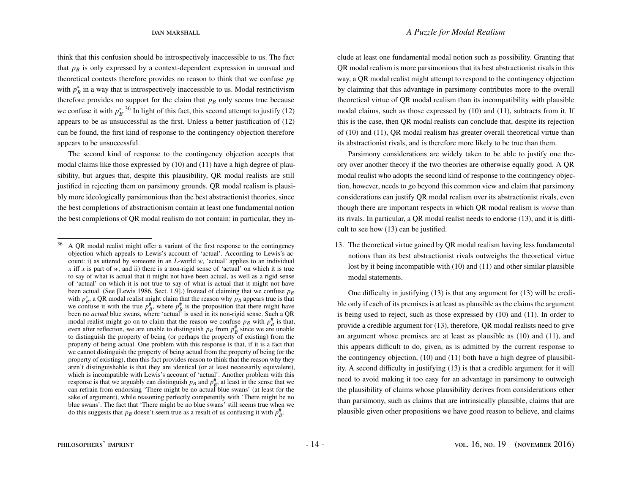think that this confusion should be introspectively inaccessible to us. The fact that  $p_B$  is only expressed by a context-dependent expression in unusual and theoretical contexts therefore provides no reason to think that we confuse  $p_B$ with  $p_B^*$  in a way that is introspectively inaccessible to us. Modal restrictivism therefore provides no support for the claim that  $p_B$  only seems true because we confuse it with  $p_B^*$ <sup>[36](#page-14-0)</sup>. In light of this fact, this second attempt to justify [\(12\)](#page-12-0) appears to be as unsuccessful as the first. Unless a better justification of [\(12\)](#page-12-0) can be found, the first kind of response to the contingency objection therefore appears to be unsuccessful.

The second kind of response to the contingency objection accepts that modal claims like those expressed by [\(10\)](#page-11-1) and [\(11\)](#page-11-2) have a high degree of plausibility, but argues that, despite this plausibility, QR modal realists are still justified in rejecting them on parsimony grounds. QR modal realism is plausibly more ideologically parsimonious than the best abstractionist theories, since the best completions of abstractionism contain at least one fundamental notion the best completions of QR modal realism do not contain: in particular, they include at least one fundamental modal notion such as possibility. Granting that QR modal realism is more parsimonious that its best abstractionist rivals in this way, a QR modal realist might attempt to respond to the contingency objection by claiming that this advantage in parsimony contributes more to the overall theoretical virtue of QR modal realism than its incompatibility with plausible modal claims, such as those expressed by [\(10\)](#page-11-1) and [\(11\)](#page-11-2), subtracts from it. If this is the case, then QR modal realists can conclude that, despite its rejection of [\(10\)](#page-11-1) and [\(11\)](#page-11-2), QR modal realism has greater overall theoretical virtue than its abstractionist rivals, and is therefore more likely to be true than them.

Parsimony considerations are widely taken to be able to justify one theory over another theory if the two theories are otherwise equally good. A QR modal realist who adopts the second kind of response to the contingency objection, however, needs to go beyond this common view and claim that parsimony considerations can justify QR modal realism over its abstractionist rivals, even though there are important respects in which QR modal realism is *worse* than its rivals. In particular, a QR modal realist needs to endorse [\(13\)](#page-14-1), and it is difficult to see how [\(13\)](#page-14-1) can be justified.

<span id="page-14-1"></span>13. The theoretical virtue gained by QR modal realism having less fundamental notions than its best abstractionist rivals outweighs the theoretical virtue lost by it being incompatible with [\(10\)](#page-11-1) and [\(11\)](#page-11-2) and other similar plausible modal statements.

One difficulty in justifying [\(13\)](#page-14-1) is that any argument for [\(13\)](#page-14-1) will be credible only if each of its premises is at least as plausible as the claims the argument is being used to reject, such as those expressed by [\(10\)](#page-11-1) and [\(11\)](#page-11-2). In order to provide a credible argument for [\(13\)](#page-14-1), therefore, QR modal realists need to give an argument whose premises are at least as plausible as [\(10\)](#page-11-1) and [\(11\)](#page-11-2), and this appears difficult to do, given, as is admitted by the current response to the contingency objection, [\(10\)](#page-11-1) and [\(11\)](#page-11-2) both have a high degree of plausibility. A second difficulty in justifying [\(13\)](#page-14-1) is that a credible argument for it will need to avoid making it too easy for an advantage in parsimony to outweigh the plausibility of claims whose plausibility derives from considerations other than parsimony, such as claims that are intrinsically plausible, claims that are plausible given other propositions we have good reason to believe, and claims

<span id="page-14-0"></span><sup>&</sup>lt;sup>36</sup> A QR modal realist might offer a variant of the first response to the contingency objection which appeals to Lewis's account of 'actual'. According to Lewis's account: i) as uttered by someone in an *L*-world *w*, 'actual' applies to an individual  $\chi$  iff  $\chi$  is part of  $w$ , and ii) there is a non-rigid sense of 'actual' on which it is true to say of what is actual that it might not have been actual, as well as a rigid sense of 'actual' on which it is not true to say of what is actual that it might not have been actual. (See [Lewis 1986, Sect. 1.9].) Instead of claiming that we confuse  $p_B$ with  $p_B^*$ , a QR modal realist might claim that the reason why  $p_B$  appears true is that when  $p_B$ , a  $\bigtriangleup$ *K* houar realist hight claim that the reason why  $p_B$  appears the is that confuse it with the true  $p_B^{\#}$ , where  $p_B^{\#}$  is the proposition that there might have been no *actual* blue swans, where 'actual' is used in its non-rigid sense. Such a QR modal realist might go on to claim that the reason we confuse  $p_B$  with  $p_B^{\#}$  is that, even after reflection, we are unable to distinguish  $p_B$  from  $p_B^{\#}$  since we are unable to distinguish the property of being (or perhaps the property of existing) from the property of being actual. One problem with this response is that, if it is a fact that we cannot distinguish the property of being actual from the property of being (or the property of existing), then this fact provides reason to think that the reason why they aren't distinguishable is that they are identical (or at least necessarily equivalent), which is incompatible with Lewis's account of 'actual'. Another problem with this response is that we arguably can distinguish  $p_B$  and  $p_B^{\#}$ , at least in the sense that we can refrain from endorsing 'There might be no actual blue swans' (at least for the sake of argument), while reasoning perfectly competently with 'There might be no blue swans'. The fact that 'There might be no blue swans' still seems true when we do this suggests that  $p_B$  doesn't seem true as a result of us confusing it with  $p_B^{\#}$ .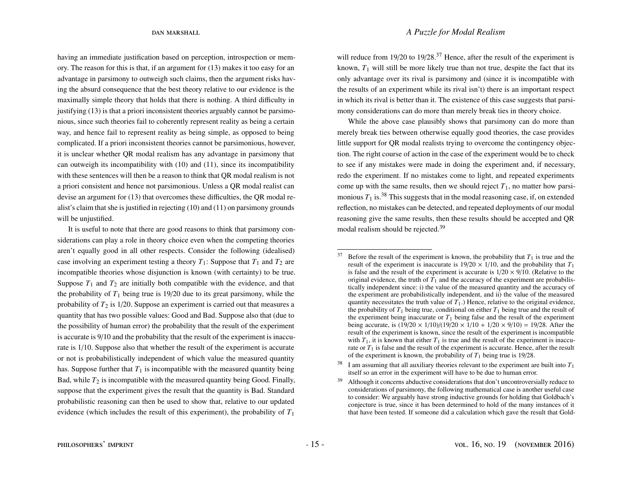dan marshall *A Puzzle for Modal Realism*

having an immediate justification based on perception, introspection or memory. The reason for this is that, if an argument for [\(13\)](#page-14-1) makes it too easy for an advantage in parsimony to outweigh such claims, then the argument risks having the absurd consequence that the best theory relative to our evidence is the maximally simple theory that holds that there is nothing. A third difficulty in justifying [\(13\)](#page-14-1) is that a priori inconsistent theories arguably cannot be parsimonious, since such theories fail to coherently represent reality as being a certain way, and hence fail to represent reality as being simple, as opposed to being complicated. If a priori inconsistent theories cannot be parsimonious, however, it is unclear whether QR modal realism has any advantage in parsimony that can outweigh its incompatibility with [\(10\)](#page-11-1) and [\(11\)](#page-11-2), since its incompatibility with these sentences will then be a reason to think that QR modal realism is not a priori consistent and hence not parsimonious. Unless a QR modal realist can devise an argument for [\(13\)](#page-14-1) that overcomes these difficulties, the QR modal realist's claim that she is justified in rejecting [\(10\)](#page-11-1) and [\(11\)](#page-11-2) on parsimony grounds will be unjustified.

It is useful to note that there are good reasons to think that parsimony considerations can play a role in theory choice even when the competing theories aren't equally good in all other respects. Consider the following (idealised) case involving an experiment testing a theory  $T_1$ : Suppose that  $T_1$  and  $T_2$  are incompatible theories whose disjunction is known (with certainty) to be true. Suppose  $T_1$  and  $T_2$  are initially both compatible with the evidence, and that the probability of  $T_1$  being true is 19/20 due to its great parsimony, while the probability of  $T_2$  is  $1/20$ . Suppose an experiment is carried out that measures a quantity that has two possible values: Good and Bad. Suppose also that (due to the possibility of human error) the probability that the result of the experiment is accurate is 9/10 and the probability that the result of the experiment is inaccurate is 1/10. Suppose also that whether the result of the experiment is accurate or not is probabilistically independent of which value the measured quantity has. Suppose further that  $T_1$  is incompatible with the measured quantity being Bad, while  $T_2$  is incompatible with the measured quantity being Good. Finally, suppose that the experiment gives the result that the quantity is Bad. Standard probabilistic reasoning can then be used to show that, relative to our updated evidence (which includes the result of this experiment), the probability of  $T_1$  will reduce from 19/20 to 19/28.<sup>[37](#page-15-0)</sup> Hence, after the result of the experiment is known,  $T_1$  will still be more likely true than not true, despite the fact that its only advantage over its rival is parsimony and (since it is incompatible with the results of an experiment while its rival isn't) there is an important respect in which its rival is better than it. The existence of this case suggests that parsimony considerations can do more than merely break ties in theory choice.

While the above case plausibly shows that parsimony can do more than merely break ties between otherwise equally good theories, the case provides little support for QR modal realists trying to overcome the contingency objection. The right course of action in the case of the experiment would be to check to see if any mistakes were made in doing the experiment and, if necessary, redo the experiment. If no mistakes come to light, and repeated experiments come up with the same results, then we should reject  $T_1$ , no matter how parsimonious  $T_1$  is.<sup>[38](#page-15-1)</sup> This suggests that in the modal reasoning case, if, on extended reflection, no mistakes can be detected, and repeated deployments of our modal reasoning give the same results, then these results should be accepted and QR modal realism should be rejected.<sup>[39](#page-15-2)</sup>

<span id="page-15-0"></span> $37$  Before the result of the experiment is known, the probability that  $T_1$  is true and the result of the experiment is inaccurate is  $19/20 \times 1/10$ , and the probability that  $T_1$ is false and the result of the experiment is accurate is  $1/20 \times 9/10$ . (Relative to the original evidence, the truth of  $T_1$  and the accuracy of the experiment are probabilistically independent since: i) the value of the measured quantity and the accuracy of the experiment are probabilistically independent, and ii) the value of the measured quantity necessitates the truth value of  $T_1$ .) Hence, relative to the original evidence, the probability of  $T_1$  being true, conditional on either  $T_1$  being true and the result of the experiment being inaccurate or  $T_1$  being false and the result of the experiment being accurate, is  $(19/20 \times 1/10)/(19/20 \times 1/10 + 1/20 \times 9/10) = 19/28$ . After the result of the experiment is known, since the result of the experiment is incompatible with  $T_1$ , it is known that either  $T_1$  is true and the result of the experiment is inaccurate or  $T_1$  is false and the result of the experiment is accurate. Hence, after the result of the experiment is known, the probability of  $T_1$  being true is 19/28.

<span id="page-15-1"></span> $38$  I am assuming that all auxiliary theories relevant to the experiment are built into  $T_1$ itself so an error in the experiment will have to be due to human error.

<span id="page-15-2"></span><sup>&</sup>lt;sup>39</sup> Although it concerns abductive considerations that don't uncontroversially reduce to considerations of parsimony, the following mathematical case is another useful case to consider: We arguably have strong inductive grounds for holding that Goldbach's conjecture is true, since it has been determined to hold of the many instances of it that have been tested. If someone did a calculation which gave the result that Gold-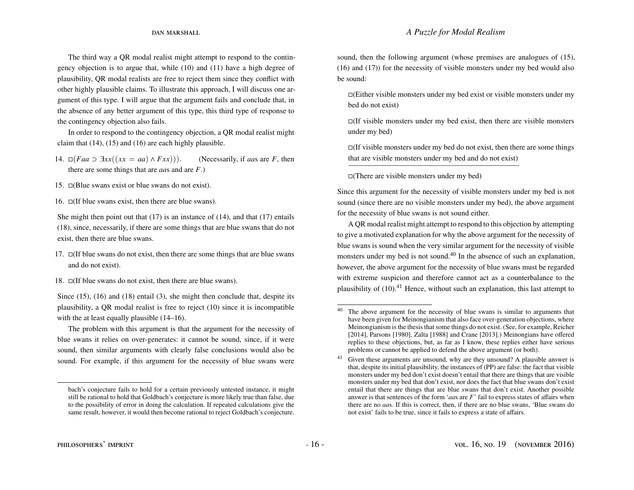The third way a QR modal realist might attempt to respond to the contingency objection is to argue that, while [\(10\)](#page-11-1) and [\(11\)](#page-11-2) have a high degree of plausibility, QR modal realists are free to reject them since they conflict with other highly plausible claims. To illustrate this approach, I will discuss one argument of this type. I will argue that the argument fails and conclude that, in the absence of any better argument of this type, this third type of response to the contingency objection also fails.

In order to respond to the contingency objection, a QR modal realist might claim that  $(14)$ ,  $(15)$  and  $(16)$  are each highly plausible.

<span id="page-16-0"></span>14.  $\Box (Faa \Box \exists xx((xx = aa) \land Fxx))).$  (Necessarily, if *aa*s are *F*, then there are some things that are *aa*s and are *F*.)

<span id="page-16-1"></span>15.  $\Box$ (Blue swans exist or blue swans do not exist).

<span id="page-16-2"></span>16.  $\Box$  (If blue swans exist, then there are blue swans).

She might then point out that  $(17)$  is an instance of  $(14)$ , and that  $(17)$  entails [\(18\)](#page-16-4), since, necessarily, if there are some things that are blue swans that do not exist, then there are blue swans.

- <span id="page-16-3"></span>17.  $\Box$  (If blue swans do not exist, then there are some things that are blue swans and do not exist).
- <span id="page-16-4"></span>18.  $\Box$  If blue swans do not exist, then there are blue swans).

Since [\(15\)](#page-16-1), [\(16\)](#page-16-2) and [\(18\)](#page-16-4) entail [\(3\)](#page-5-3), she might then conclude that, despite its plausibility, a QR modal realist is free to reject [\(10\)](#page-11-1) since it is incompatible with the at least equally plausible  $(14–16)$  $(14–16)$ .

The problem with this argument is that the argument for the necessity of blue swans it relies on over-generates: it cannot be sound, since, if it were sound, then similar arguments with clearly false conclusions would also be sound. For example, if this argument for the necessity of blue swans were

sound, then the following argument (whose premises are analogues of [\(15\)](#page-16-1), [\(16\)](#page-16-2) and [\(17\)](#page-16-3)) for the necessity of visible monsters under my bed would also be sound:

 $\Box$ (Either visible monsters under my bed exist or visible monsters under my bed do not exist)

 $\Box$ (If visible monsters under my bed exist, then there are visible monsters under my bed)

 $\Box$ (If visible monsters under my bed do not exist, then there are some things that are visible monsters under my bed and do not exist) ——————————————————————–

 $\Box$ (There are visible monsters under my bed)

Since this argument for the necessity of visible monsters under my bed is not sound (since there are no visible monsters under my bed), the above argument for the necessity of blue swans is not sound either.

A QR modal realist might attempt to respond to this objection by attempting to give a motivated explanation for why the above argument for the necessity of blue swans is sound when the very similar argument for the necessity of visible monsters under my bed is not sound.<sup>[40](#page-16-5)</sup> In the absence of such an explanation, however, the above argument for the necessity of blue swans must be regarded with extreme suspicion and therefore cannot act as a counterbalance to the plausibility of  $(10).<sup>41</sup>$  $(10).<sup>41</sup>$  $(10).<sup>41</sup>$  $(10).<sup>41</sup>$  Hence, without such an explanation, this last attempt to

bach's conjecture fails to hold for a certain previously untested instance, it might still be rational to hold that Goldbach's conjecture is more likely true than false, due to the possibility of error in doing the calculation. If repeated calculations give the same result, however, it would then become rational to reject Goldbach's conjecture.

<span id="page-16-5"></span> $40$  The above argument for the necessity of blue swans is similar to arguments that have been given for Meinongianism that also face over-generation objections, where Meinongianism is the thesis that some things do not exist. (See, for example, Reicher [2014], Parsons [1980], Zalta [1988] and Crane [2013].) Meinongians have offered replies to these objections, but, as far as I know, these replies either have serious problems or cannot be applied to defend the above argument (or both).

<span id="page-16-6"></span><sup>&</sup>lt;sup>41</sup> Given these arguments are unsound, why are they unsound? A plausible answer is that, despite its initial plausibility, the instances of (PP) are false: the fact that visible monsters under my bed don't exist doesn't entail that there are things that are visible monsters under my bed that don't exist, nor does the fact that blue swans don't exist entail that there are things that are blue swans that don't exist. Another possible answer is that sentences of the form '*aa*s are *F*' fail to express states of affairs when there are no *aa*s. If this is correct, then, if there are no blue swans, 'Blue swans do not exist' fails to be true, since it fails to express a state of affairs.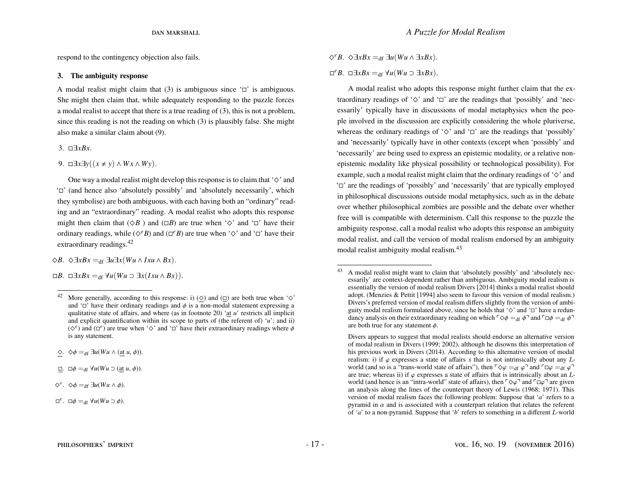respond to the contingency objection also fails.

### <span id="page-17-1"></span>3. The ambiguity response

A modal realist might claim that [\(3\)](#page-5-3) is ambiguous since  $\Box$  is ambiguous. She might then claim that, while adequately responding to the puzzle forces a modal realist to accept that there is a true reading of [\(3\)](#page-5-3), this is not a problem, since this reading is not the reading on which [\(3\)](#page-5-3) is plausibly false. She might also make a similar claim about [\(9\)](#page-11-0).

[3.](#page-5-3) ∃*xBx*.

[9.](#page-11-0) □ $\exists x \exists y ((x \neq y) \land Wx \land Wy)$ .

One way a modal realist might develop this response is to claim that ' $\diamond$ ' and ' $\Box$ ' (and hence also 'absolutely possibly' and 'absolutely necessarily', which they symbolise) are both ambiguous, with each having both an "ordinary" reading and an "extraordinary" reading. A modal realist who adopts this response might then claim that  $(\Diamond B)$  and  $(\Box B)$  are true when ' $\Diamond'$ ' and ' $\Box'$ ' have their ordinary readings, while ( $\Diamond^e B$ ) and ( $\Box^e B$ ) are true when ' $\Diamond$ ' and ' $\Box$ ' have their extraordinary readings.[42](#page-17-0)

 $\diamond$ *B*.  $\diamond$ ∃*xBx* =df ∃*u*∃*x*(*Wu* ∧ *Ixu* ∧ *Bx*).

 $\Box B$ .  $\Box \exists x Bx =_{df} \forall u (Wu \supset \exists x (Ixu \wedge Bx))$ .

 $\Box$ .  $\Box \phi =_{df} \forall u(Wu \supset (\underline{at} u, \phi)).$ 

 $\Diamond^e$ .  $\Diamond \phi =_{df} \exists u(Wu \land \phi)$ .

 $\diamond^e B$ .  $\diamond \exists x Bx =_{df} \exists u(Wu \land \exists x Bx)$ .

 $\Box^e B$ .  $\Box \exists x Bx =_{df} \forall u (Wu \supset \exists x Bx)$ .

A modal realist who adopts this response might further claim that the extraordinary readings of ' $\diamond$ ' and ' $\square$ ' are the readings that 'possibly' and 'necessarily' typically have in discussions of modal metaphysics when the people involved in the discussion are explicitly considering the whole pluriverse, whereas the ordinary readings of ' $\diamond$ ' and ' $\square$ ' are the readings that 'possibly' and 'necessarily' typically have in other contexts (except when 'possibly' and 'necessarily' are being used to express an epistemic modality, or a relative nonepistemic modality like physical possibility or technological possibility). For example, such a modal realist might claim that the ordinary readings of  $\Diamond$  and  $\Box$  are the readings of 'possibly' and 'necessarily' that are typically employed in philosophical discussions outside modal metaphysics, such as in the debate over whether philosophical zombies are possible and the debate over whether free will is compatible with determinism. Call this response to the puzzle the ambiguity response, call a modal realist who adopts this response an ambiguity modal realist, and call the version of modal realism endorsed by an ambiguity modal realist ambiguity modal realism.<sup>[43](#page-17-2)</sup>

<span id="page-17-0"></span><sup>&</sup>lt;sup>42</sup> More generally, according to this response: i)  $(\diamond)$  and  $(\square)$  are both true when ' $\diamond$ ' and ' $\Box$ ' have their ordinary readings and  $\phi$  is a non-modal statement expressing a qualitative state of affairs, and where (as in footnote [20\)](#page-6-0) 'at *u*' restricts all implicit and explicit quantification within its scope to parts of (the referent of) '*u*'; and ii)  $({\diamond}^e)$  and  $({\square}^e)$  are true when ' $\diamond$ ' and ' $\square$ ' have their extraordinary readings where  $\phi$  is any statement is any statement.

 $\diamond$ .  $\diamond$  $\phi =_{df} \exists u(Wu \land (at u, \phi)).$ 

 $\Box^e$ .  $\Box \phi =_{df} \forall u(Wu \supset \phi)$ .

<span id="page-17-2"></span><sup>43</sup> A modal realist might want to claim that 'absolutely possibly' and 'absolutely necessarily' are context-dependent rather than ambiguous. Ambiguity modal realism is essentially the version of modal realism Divers [2014] thinks a modal realist should adopt. (Menzies & Pettit [1994] also seem to favour this version of modal realism.) Divers's preferred version of modal realism differs slightly from the version of ambiguity modal realism formulated above, since he holds that ' $\diamond$ ' and ' $\square$ ' have a redundancy analysis on their extraordinary reading on which  $\sqrt{\ } \phi =_{df} \phi$  and  $\sqrt{\ }$ are both true for any statement  $\phi$ .

Divers appears to suggest that modal realists should endorse an alternative version of modal realism in [Divers](#page-23-7) [\(1999;](#page-23-7) [2002\)](#page-23-10), although he disowns this interpretation of his previous work in [Divers](#page-23-6) [\(2014\)](#page-23-6). According to this alternative version of modal realism: i) if  $\varphi$  expresses a state of affairs  $s$  that is not intrinsically about any  $L$ world (and so is a "trans-world state of affairs"), then  $\sqrt{\varphi} = d\theta \sqrt{\varphi} = d\theta \sqrt{\varphi} = d\theta \sqrt{\varphi}$ are true; whereas ii) if  $\varphi$  expresses a state of affairs that is intrinsically about an  $L$ world (and hence is an "intra-world" state of affairs), then  $\lceil \diamond \varphi \rceil$  and  $\lceil \Box \varphi \rceil$  are given an analysis along the lines of the counterpart theory of [Lewis](#page-24-10) [\(1968;](#page-24-10) [1971\)](#page-24-11). This version of modal realism faces the following problem: Suppose that '*a*' refers to a pyramid in  $\alpha$  and is associated with a counterpart relation that relates the referent of '*a*' to a non-pyramid. Suppose that '*b*' refers to something in a different *L*-world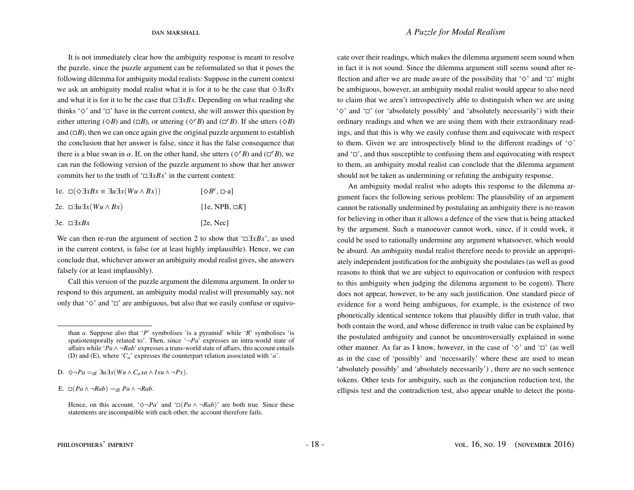It is not immediately clear how the ambiguity response is meant to resolve the puzzle, since the puzzle argument can be reformulated so that it poses the following dilemma for ambiguity modal realists: Suppose in the current context we ask an ambiguity modal realist what it is for it to be the case that ^∃*xBx* and what it is for it to be the case that ∃*xBx*. Depending on what reading she thinks ' $\diamond$ ' and ' $\square$ ' have in the current context, she will answer this question by either uttering ( $\Diamond B$ ) and ( $\Box B$ ), or uttering ( $\Diamond^e B$ ) and ( $\Box^e B$ ). If she utters ( $\Diamond B$ ) and  $(\Box B)$ , then we can once again give the original puzzle argument to establish the conclusion that her answer is false, since it has the false consequence that there is a blue swan in  $\alpha$ . If, on the other hand, she utters ( $\Diamond^e B$ ) and ( $\Box^e B$ ), we can get the following species of the group and the change of the group of the group of the group of the group of the group of the can run the following version of the puzzle argument to show that her answer commits her to the truth of '∃*xBx*' in the current context:

| 1e. $\Box(\Diamond \exists x Bx \equiv \exists u \exists x (Wu \land Bx))$ | $[\Diamond B^e, \Box a]$ |
|----------------------------------------------------------------------------|--------------------------|
| 2e. □∃u∃x(Wu∧Bx)                                                           | $[1e, NPB, \Box K]$      |
| 3e. □∃ <i>xBx</i>                                                          | [2e, Nec]                |

We can then re-run the argument of section [2](#page-8-0) to show that '∃*xBx*', as used in the current context, is false (or at least highly implausible). Hence, we can conclude that, whichever answer an ambiguity modal realist gives, she answers falsely (or at least implausibly).

Call this version of the puzzle argument the dilemma argument. In order to respond to this argument, an ambiguity modal realist will presumably say, not only that ' $\diamond$ ' and ' $\square$ ' are ambiguous, but also that we easily confuse or equivocate over their readings, which makes the dilemma argument seem sound when in fact it is not sound. Since the dilemma argument still seems sound after reflection and after we are made aware of the possibility that  $\Diamond$  and  $\Box$  might be ambiguous, however, an ambiguity modal realist would appear to also need to claim that we aren't introspectively able to distinguish when we are using ' $\diamond$ ' and ' $\square$ ' (or 'absolutely possibly' and 'absolutely necessarily') with their ordinary readings and when we are using them with their extraordinary readings, and that this is why we easily confuse them and equivocate with respect to them. Given we are introspectively blind to the different readings of  $\Diamond$ and  $\Box$ , and thus susceptible to confusing them and equivocating with respect to them, an ambiguity modal realist can conclude that the dilemma argument should not be taken as undermining or refuting the ambiguity response.

An ambiguity modal realist who adopts this response to the dilemma argument faces the following serious problem: The plausibility of an argument cannot be rationally undermined by postulating an ambiguity there is no reason for believing in other than it allows a defence of the view that is being attacked by the argument. Such a manoeuver cannot work, since, if it could work, it could be used to rationally undermine any argument whatsoever, which would be absurd. An ambiguity modal realist therefore needs to provide an appropriately independent justification for the ambiguity she postulates (as well as good reasons to think that we are subject to equivocation or confusion with respect to this ambiguity when judging the dilemma argument to be cogent). There does not appear, however, to be any such justification. One standard piece of evidence for a word being ambiguous, for example, is the existence of two phonetically identical sentence tokens that plausibly differ in truth value, that both contain the word, and whose difference in truth value can be explained by the postulated ambiguity and cannot be uncontroversially explained in some other manner. As far as I know, however, in the case of ' $\diamond$ ' and ' $\square$ ' (as well as in the case of 'possibly' and 'necessarily' where these are used to mean 'absolutely possibly' and 'absolutely necessarily') , there are no such sentence tokens. Other tests for ambiguity, such as the conjunction reduction test, the ellipsis test and the contradiction test, also appear unable to detect the postu-

than *a*. Suppose also that '*P*' symbolises 'is a pyramid' while '*R*' symbolises 'is spatiotemporally related to'. Then, since  $\Delta P a'$  expresses an intra-world state of affairs while '*Pa*∧ ¬*Rab*' expresses a trans-world state of affairs, this account entails (D) and (E), where '*Ca*' expresses the counterpart relation associated with '*a*'.

D.  $\diamond$ ¬*Pa* =<sub>df</sub> ∃*u*∃*x*(*Wu* ∧ *C<sub>a</sub>xa* ∧ *Ixu* ∧ ¬*Px*).

E. □( $Pa \land \neg Rab$ ) =df  $Pa \land \neg Rab$ .

Hence, on this account, ' $\Diamond \neg Pa'$  and ' $\Box (Pa \land \neg Rab)$ ' are both true. Since these statements are incompatible with each other, the account therefore fails.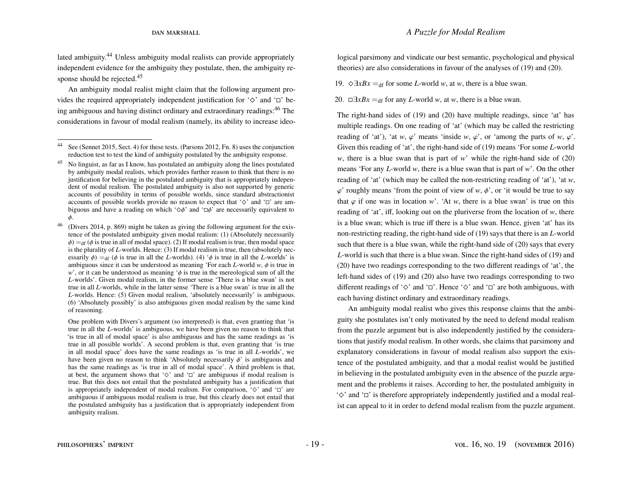lated ambiguity.<sup>[44](#page-19-0)</sup> Unless ambiguity modal realists can provide appropriately independent evidence for the ambiguity they postulate, then, the ambiguity re-sponse should be rejected.<sup>[45](#page-19-1)</sup>

An ambiguity modal realist might claim that the following argument provides the required appropriately independent justification for  $\Diamond'$  and  $\Box'$  be-ing ambiguous and having distinct ordinary and extraordinary readings:<sup>[46](#page-19-2)</sup> The considerations in favour of modal realism (namely, its ability to increase ideo-

<span id="page-19-2"></span> $46$  [\(Divers](#page-23-6) [2014,](#page-23-6) p. 869) might be taken as giving the following argument for the existence of the postulated ambiguity given modal realism: (1) (Absolutely necessarily  $\phi$ ) = df ( $\phi$  is true in all of modal space). (2) If modal realism is true, then modal space is the plurality of *L*-worlds. Hence: (3) If modal realism is true, then (absolutely necessarily  $\phi$ ) = df ( $\phi$  is true in all the *L*-worlds). (4)  $\phi$  is true in all the *L*-worlds' is ambiguous since it can be understood as meaning 'For each *L*-world  $w$ ,  $\phi$  is true in *w*', or it can be understood as meaning  $\phi$  is true in the mereological sum of all the *L*-worlds'. Given modal realism, in the former sense 'There is a blue swan' is not true in all *L*-worlds, while in the latter sense 'There is a blue swan' is true in all the *L*-worlds. Hence: (5) Given modal realism, 'absolutely necessarily' is ambiguous. (6) 'Absolutely possibly' is also ambiguous given modal realism by the same kind of reasoning.

logical parsimony and vindicate our best semantic, psychological and physical theories) are also considerations in favour of the analyses of [\(19\)](#page-19-3) and [\(20\)](#page-19-4).

<span id="page-19-3"></span>19.  $\Diamond \exists x Bx =_{df}$  for some *L*-world *w*, at *w*, there is a blue swan.

<span id="page-19-4"></span>20.  $\Box \exists x Bx =_{df}$  for any *L*-world *w*, at *w*, there is a blue swan.

The right-hand sides of [\(19\)](#page-19-3) and [\(20\)](#page-19-4) have multiple readings, since 'at' has multiple readings. On one reading of 'at' (which may be called the restricting reading of 'at'), 'at *w*,  $\varphi$ ' means 'inside *w*,  $\varphi$ ', or 'among the parts of *w*,  $\varphi$ '. Given this reading of 'at', the right-hand side of [\(19\)](#page-19-3) means 'For some *L*-world *w*, there is a blue swan that is part of *w*' while the right-hand side of  $(20)$ means 'For any *L*-world *w*, there is a blue swan that is part of *w*'. On the other reading of 'at' (which may be called the non-restricting reading of 'at'), 'at *w*,  $\varphi'$  roughly means 'from the point of view of *w*,  $\varphi'$ , or 'it would be true to say that  $\varphi$  if one was in location *w*'. 'At *w*, there is a blue swan' is true on this reading of 'at', iff, looking out on the pluriverse from the location of *w*, there is a blue swan; which is true iff there is a blue swan. Hence, given 'at' has its non-restricting reading, the right-hand side of [\(19\)](#page-19-3) says that there is an *L*-world such that there is a blue swan, while the right-hand side of [\(20\)](#page-19-4) says that every *L*-world is such that there is a blue swan. Since the right-hand sides of [\(19\)](#page-19-3) and [\(20\)](#page-19-4) have two readings corresponding to the two different readings of 'at', the left-hand sides of [\(19\)](#page-19-3) and [\(20\)](#page-19-4) also have two readings corresponding to two different readings of ' $\diamond$ ' and ' $\square$ '. Hence ' $\diamond$ ' and ' $\square$ ' are both ambiguous, with each having distinct ordinary and extraordinary readings.

An ambiguity modal realist who gives this response claims that the ambiguity she postulates isn't only motivated by the need to defend modal realism from the puzzle argument but is also independently justified by the considerations that justify modal realism. In other words, she claims that parsimony and explanatory considerations in favour of modal realism also support the existence of the postulated ambiguity, and that a modal realist would be justified in believing in the postulated ambiguity even in the absence of the puzzle argument and the problems it raises. According to her, the postulated ambiguity in ' $\diamond$ ' and ' $\square$ ' is therefore appropriately independently justified and a modal realist can appeal to it in order to defend modal realism from the puzzle argument.

<span id="page-19-0"></span>See [\(Sennet](#page-24-17) [2015,](#page-24-17) Sect. 4) for these tests. [\(Parsons](#page-24-5) [2012,](#page-24-5) Fn. 8) uses the conjunction reduction test to test the kind of ambiguity postulated by the ambiguity response.

<span id="page-19-1"></span><sup>45</sup> No linguist, as far as I know, has postulated an ambiguity along the lines postulated by ambiguity modal realists, which provides further reason to think that there is no justification for believing in the postulated ambiguity that is appropriately independent of modal realism. The postulated ambiguity is also not supported by generic accounts of possibility in terms of possible worlds, since standard abstractionist accounts of possible worlds provide no reason to expect that ' $\diamond$ ' and ' $\square$ ' are ambiguous and have a reading on which ' $\diamondsuit \phi$ ' and ' $\Box \phi$ ' are necessarily equivalent to φ.

One problem with Divers's argument (so interpreted) is that, even granting that 'is true in all the *L*-worlds' is ambiguous, we have been given no reason to think that 'is true in all of modal space' is also ambiguous and has the same readings as 'is true in all possible worlds'. A second problem is that, even granting that 'is true in all modal space' does have the same readings as 'is true in all *L*-worlds', we have been given no reason to think 'Absolutely necessarily  $\phi$ ' is ambiguous and has the same readings as 'is true in all of modal space'. A third problem is that, at best, the argument shows that ' $\diamond$ ' and ' $\square$ ' are ambiguous if modal realism is true. But this does not entail that the postulated ambiguity has a justification that is appropriately independent of modal realism. For comparison,  $\Diamond'$  and  $\Box'$  are ambiguous if ambiguous modal realism is true, but this clearly does not entail that the postulated ambiguity has a justification that is appropriately independent from ambiguity realism.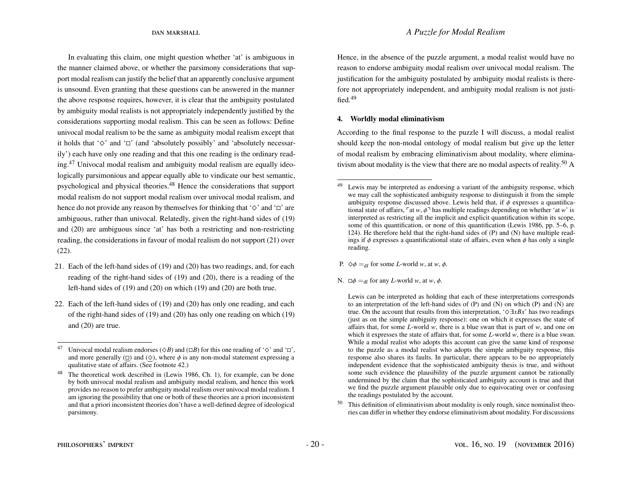In evaluating this claim, one might question whether 'at' is ambiguous in the manner claimed above, or whether the parsimony considerations that support modal realism can justify the belief that an apparently conclusive argument is unsound. Even granting that these questions can be answered in the manner the above response requires, however, it is clear that the ambiguity postulated by ambiguity modal realists is not appropriately independently justified by the considerations supporting modal realism. This can be seen as follows: Define univocal modal realism to be the same as ambiguity modal realism except that it holds that ' $\diamond$ ' and ' $\square'$ ' (and 'absolutely possibly' and 'absolutely necessarily') each have only one reading and that this one reading is the ordinary reading.[47](#page-20-1) Univocal modal realism and ambiguity modal realism are equally ideologically parsimonious and appear equally able to vindicate our best semantic, psychological and physical theories.[48](#page-20-2) Hence the considerations that support modal realism do not support modal realism over univocal modal realism, and hence do not provide any reason by themselves for thinking that ' $\diamond$ ' and ' $\square$ ' are ambiguous, rather than univocal. Relatedly, given the right-hand sides of [\(19\)](#page-19-3) and [\(20\)](#page-19-4) are ambiguous since 'at' has both a restricting and non-restricting reading, the considerations in favour of modal realism do not support [\(21\)](#page-20-3) over [\(22\)](#page-20-4).

- <span id="page-20-3"></span>21. Each of the left-hand sides of [\(19\)](#page-19-3) and [\(20\)](#page-19-4) has two readings, and, for each reading of the right-hand sides of [\(19\)](#page-19-3) and [\(20\)](#page-19-4), there is a reading of the left-hand sides of [\(19\)](#page-19-3) and [\(20\)](#page-19-4) on which [\(19\)](#page-19-3) and [\(20\)](#page-19-4) are both true.
- <span id="page-20-4"></span>22. Each of the left-hand sides of [\(19\)](#page-19-3) and [\(20\)](#page-19-4) has only one reading, and each of the right-hand sides of [\(19\)](#page-19-3) and [\(20\)](#page-19-4) has only one reading on which [\(19\)](#page-19-3) and [\(20\)](#page-19-4) are true.

Hence, in the absence of the puzzle argument, a modal realist would have no reason to endorse ambiguity modal realism over univocal modal realism. The justification for the ambiguity postulated by ambiguity modal realists is therefore not appropriately independent, and ambiguity modal realism is not justified.[49](#page-20-5)

### <span id="page-20-0"></span>4. Worldly modal eliminativism

According to the final response to the puzzle I will discuss, a modal realist should keep the non-modal ontology of modal realism but give up the letter of modal realism by embracing eliminativism about modality, where elimina-tivism about modality is the view that there are no modal aspects of reality.<sup>[50](#page-20-6)</sup> A

- P.  $\diamond \phi =_{df}$  for some *L*-world *w*, at *w*,  $\phi$ .
- N.  $\square \phi =_{df}$  for any *L*-world *w*, at *w*,  $\phi$ .

Lewis can be interpreted as holding that each of these interpretations corresponds to an interpretation of the left-hand sides of (P) and (N) on which (P) and (N) are true. On the account that results from this interpretation, '^∃*xBx*' has two readings (just as on the simple ambiguity response): one on which it expresses the state of affairs that, for some *L*-world *w*, there is a blue swan that is part of *w*, and one on which it expresses the state of affairs that, for some *L*-world *w*, there is a blue swan. While a modal realist who adopts this account can give the same kind of response to the puzzle as a modal realist who adopts the simple ambiguity response, this response also shares its faults. In particular, there appears to be no appropriately independent evidence that the sophisticated ambiguity thesis is true, and without some such evidence the plausibility of the puzzle argument cannot be rationally undermined by the claim that the sophisticated ambiguity account is true and that we find the puzzle argument plausible only due to equivocating over or confusing the readings postulated by the account.

<span id="page-20-6"></span><sup>50</sup> This definition of eliminativism about modality is only rough, since nominalist theories can differ in whether they endorse eliminativism about modality. For discussions

<span id="page-20-1"></span><sup>47</sup> Univocal modal realism endorses ( $\Diamond B$ ) and ( $\Box B$ ) for this one reading of ' $\diamond$ ' and ' $\Box$ ', and more generally ( $\Box$ ) and ( $\diamond$ ), where  $\phi$  is any non-modal statement expressing a qualitative state of affairs. (See footnote [42.](#page-17-0))

<span id="page-20-2"></span><sup>48</sup> The theoretical work described in [\(Lewis](#page-24-0) [1986,](#page-24-0) Ch. 1), for example, can be done by both univocal modal realism and ambiguity modal realism, and hence this work provides no reason to prefer ambiguity modal realism over univocal modal realism. I am ignoring the possibility that one or both of these theories are a priori inconsistent and that a priori inconsistent theories don't have a well-defined degree of ideological parsimony.

<span id="page-20-5"></span><sup>49</sup> Lewis may be interpreted as endorsing a variant of the ambiguity response, which we may call the sophisticated ambiguity response to distinguish it from the simple ambiguity response discussed above. Lewis held that, if  $\phi$  expresses a quantificational state of affairs,  $\lceil \text{at } w, \phi \rceil$  has multiple readings depending on whether 'at *w*' is interpreted as restricting all the implicit and explicit quantification within its scope, some of this quantification, or none of this quantification [\(Lewis](#page-24-0) [1986,](#page-24-0) pp. 5–6, p. 124). He therefore held that the right-hand sides of (P) and (N) have multiple readings if  $\phi$  expresses a quantificational state of affairs, even when  $\phi$  has only a single reading.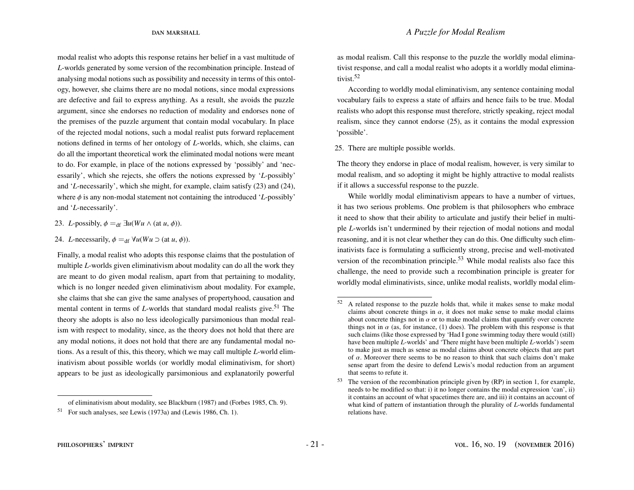modal realist who adopts this response retains her belief in a vast multitude of *L*-worlds generated by some version of the recombination principle. Instead of analysing modal notions such as possibility and necessity in terms of this ontology, however, she claims there are no modal notions, since modal expressions are defective and fail to express anything. As a result, she avoids the puzzle argument, since she endorses no reduction of modality and endorses none of the premises of the puzzle argument that contain modal vocabulary. In place of the rejected modal notions, such a modal realist puts forward replacement notions defined in terms of her ontology of *L*-worlds, which, she claims, can do all the important theoretical work the eliminated modal notions were meant to do. For example, in place of the notions expressed by 'possibly' and 'necessarily', which she rejects, she offers the notions expressed by '*L*-possibly' and '*L*-necessarily', which she might, for example, claim satisfy [\(23\)](#page-21-0) and [\(24\)](#page-21-1), where  $\phi$  is any non-modal statement not containing the introduced '*L*-possibly' and '*L*-necessarily'.

- <span id="page-21-0"></span>23. *L*-possibly,  $\phi =_{df} \exists u(Wu \land (at u, \phi)).$
- <span id="page-21-1"></span>24. *L*-necessarily,  $\phi =_{df} \forall u(Wu \supset (at u, \phi)).$

Finally, a modal realist who adopts this response claims that the postulation of multiple *L*-worlds given eliminativism about modality can do all the work they are meant to do given modal realism, apart from that pertaining to modality, which is no longer needed given eliminativism about modality. For example, she claims that she can give the same analyses of propertyhood, causation and mental content in terms of *L*-worlds that standard modal realists give.<sup>[51](#page-21-2)</sup> The theory she adopts is also no less ideologically parsimonious than modal realism with respect to modality, since, as the theory does not hold that there are any modal notions, it does not hold that there are any fundamental modal notions. As a result of this, this theory, which we may call multiple *L*-world eliminativism about possible worlds (or worldly modal eliminativism, for short) appears to be just as ideologically parsimonious and explanatorily powerful

as modal realism. Call this response to the puzzle the worldly modal eliminativist response, and call a modal realist who adopts it a worldly modal eliminativist.[52](#page-21-3)

According to worldly modal eliminativism, any sentence containing modal vocabulary fails to express a state of affairs and hence fails to be true. Modal realists who adopt this response must therefore, strictly speaking, reject modal realism, since they cannot endorse [\(25\)](#page-21-4), as it contains the modal expression 'possible'.

<span id="page-21-4"></span>25. There are multiple possible worlds.

The theory they endorse in place of modal realism, however, is very similar to modal realism, and so adopting it might be highly attractive to modal realists if it allows a successful response to the puzzle.

While worldly modal eliminativism appears to have a number of virtues, it has two serious problems. One problem is that philosophers who embrace it need to show that their ability to articulate and justify their belief in multiple *L*-worlds isn't undermined by their rejection of modal notions and modal reasoning, and it is not clear whether they can do this. One difficulty such eliminativists face is formulating a sufficiently strong, precise and well-motivated version of the recombination principle.[53](#page-21-5) While modal realists also face this challenge, the need to provide such a recombination principle is greater for worldly modal eliminativists, since, unlike modal realists, worldly modal elim-

<span id="page-21-2"></span>of eliminativism about modality, see [Blackburn](#page-23-11) [\(1987\)](#page-23-11) and [\(Forbes](#page-24-18) [1985,](#page-24-18) Ch. 9).

<sup>51</sup> For such analyses, see [Lewis](#page-24-19) [\(1973a\)](#page-24-19) and [\(Lewis](#page-24-0) [1986,](#page-24-0) Ch. 1).

<span id="page-21-3"></span><sup>52</sup> A related response to the puzzle holds that, while it makes sense to make modal claims about concrete things in  $\alpha$ , it does not make sense to make modal claims about concrete things not in  $\alpha$  or to make modal claims that quantify over concrete about concrete things not in  $\alpha$  or to make modal claims that quantify over concrete<br>things not in  $\alpha$  (as for instance (1) does). The problem with this response is that things not in  $\alpha$  (as, for instance, [\(1\)](#page-5-1) does). The problem with this response is that such claims (like those expressed by 'Had I gone swimming today there would (still) such claims (like those expressed by 'Had I gone swimming today there would (still) have been multiple *L*-worlds' and 'There might have been multiple *L*-worlds') seem to make just as much as sense as modal claims about concrete objects that are part of  $\alpha$ . Moreover there seems to be no reason to think that such claims don't make sense apart from the desire to defend Lewis's modal reduction from an argument that seems to refute it.

<span id="page-21-5"></span><sup>53</sup> The version of the recombination principle given by (RP) in section [1,](#page-1-1) for example, needs to be modified so that: i) it no longer contains the modal expression 'can', ii) it contains an account of what spacetimes there are, and iii) it contains an account of what kind of pattern of instantiation through the plurality of *L*-worlds fundamental relations have.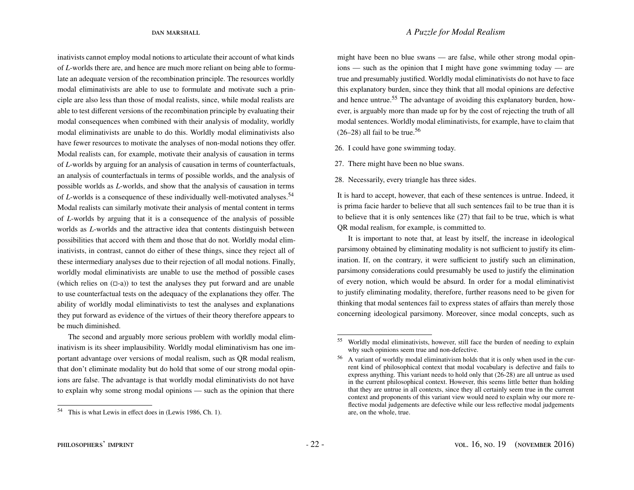inativists cannot employ modal notions to articulate their account of what kinds of *L*-worlds there are, and hence are much more reliant on being able to formulate an adequate version of the recombination principle. The resources worldly modal eliminativists are able to use to formulate and motivate such a principle are also less than those of modal realists, since, while modal realists are able to test different versions of the recombination principle by evaluating their modal consequences when combined with their analysis of modality, worldly modal eliminativists are unable to do this. Worldly modal eliminativists also have fewer resources to motivate the analyses of non-modal notions they offer. Modal realists can, for example, motivate their analysis of causation in terms of *L*-worlds by arguing for an analysis of causation in terms of counterfactuals, an analysis of counterfactuals in terms of possible worlds, and the analysis of possible worlds as *L*-worlds, and show that the analysis of causation in terms of *L*-worlds is a consequence of these individually well-motivated analyses.<sup>[54](#page-22-0)</sup> Modal realists can similarly motivate their analysis of mental content in terms of *L*-worlds by arguing that it is a consequence of the analysis of possible worlds as *L*-worlds and the attractive idea that contents distinguish between possibilities that accord with them and those that do not. Worldly modal eliminativists, in contrast, cannot do either of these things, since they reject all of these intermediary analyses due to their rejection of all modal notions. Finally, worldly modal eliminativists are unable to use the method of possible cases (which relies on  $(\Box -a)$ ) to test the analyses they put forward and are unable to use counterfactual tests on the adequacy of the explanations they offer. The ability of worldly modal eliminativists to test the analyses and explanations they put forward as evidence of the virtues of their theory therefore appears to be much diminished.

The second and arguably more serious problem with worldly modal eliminativism is its sheer implausibility. Worldly modal eliminativism has one important advantage over versions of modal realism, such as QR modal realism, that don't eliminate modality but do hold that some of our strong modal opinions are false. The advantage is that worldly modal eliminativists do not have to explain why some strong modal opinions — such as the opinion that there

might have been no blue swans — are false, while other strong modal opinions — such as the opinion that I might have gone swimming today — are true and presumably justified. Worldly modal eliminativists do not have to face this explanatory burden, since they think that all modal opinions are defective and hence untrue.<sup>[55](#page-22-1)</sup> The advantage of avoiding this explanatory burden, however, is arguably more than made up for by the cost of rejecting the truth of all modal sentences. Worldly modal eliminativists, for example, have to claim that  $(26-28)$  $(26-28)$  all fail to be true.<sup>[56](#page-22-4)</sup>

<span id="page-22-2"></span>26. I could have gone swimming today.

<span id="page-22-5"></span>27. There might have been no blue swans.

<span id="page-22-3"></span>28. Necessarily, every triangle has three sides.

It is hard to accept, however, that each of these sentences is untrue. Indeed, it is prima facie harder to believe that all such sentences fail to be true than it is to believe that it is only sentences like [\(27\)](#page-22-5) that fail to be true, which is what QR modal realism, for example, is committed to.

It is important to note that, at least by itself, the increase in ideological parsimony obtained by eliminating modality is not sufficient to justify its elimination. If, on the contrary, it were sufficient to justify such an elimination, parsimony considerations could presumably be used to justify the elimination of every notion, which would be absurd. In order for a modal eliminativist to justify eliminating modality, therefore, further reasons need to be given for thinking that modal sentences fail to express states of affairs than merely those concerning ideological parsimony. Moreover, since modal concepts, such as

<span id="page-22-0"></span><sup>54</sup> This is what Lewis in effect does in [\(Lewis](#page-24-0) [1986,](#page-24-0) Ch. 1).

<span id="page-22-1"></span><sup>55</sup> Worldly modal eliminativists, however, still face the burden of needing to explain why such opinions seem true and non-defective.

<span id="page-22-4"></span><sup>56</sup> A variant of worldly modal eliminativism holds that it is only when used in the current kind of philosophical context that modal vocabulary is defective and fails to express anything. This variant needs to hold only that [\(26](#page-22-2)[-28\)](#page-22-3) are all untrue as used in the current philosophical context. However, this seems little better than holding that they are untrue in all contexts, since they all certainly seem true in the current context and proponents of this variant view would need to explain why our more reflective modal judgements are defective while our less reflective modal judgements are, on the whole, true.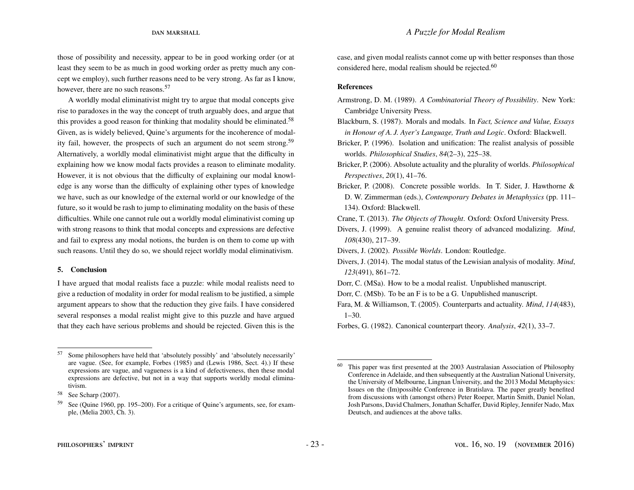those of possibility and necessity, appear to be in good working order (or at least they seem to be as much in good working order as pretty much any concept we employ), such further reasons need to be very strong. As far as I know, however, there are no such reasons.<sup>[57](#page-23-12)</sup>

A worldly modal eliminativist might try to argue that modal concepts give rise to paradoxes in the way the concept of truth arguably does, and argue that this provides a good reason for thinking that modality should be eliminated.<sup>[58](#page-23-13)</sup> Given, as is widely believed, Quine's arguments for the incoherence of modal-ity fail, however, the prospects of such an argument do not seem strong.<sup>[59](#page-23-14)</sup> Alternatively, a worldly modal eliminativist might argue that the difficulty in explaining how we know modal facts provides a reason to eliminate modality. However, it is not obvious that the difficulty of explaining our modal knowledge is any worse than the difficulty of explaining other types of knowledge we have, such as our knowledge of the external world or our knowledge of the future, so it would be rash to jump to eliminating modality on the basis of these difficulties. While one cannot rule out a worldly modal eliminativist coming up with strong reasons to think that modal concepts and expressions are defective and fail to express any modal notions, the burden is on them to come up with such reasons. Until they do so, we should reject worldly modal eliminativism.

### 5. Conclusion

I have argued that modal realists face a puzzle: while modal realists need to give a reduction of modality in order for modal realism to be justified, a simple argument appears to show that the reduction they give fails. I have considered several responses a modal realist might give to this puzzle and have argued that they each have serious problems and should be rejected. Given this is the case, and given modal realists cannot come up with better responses than those considered here, modal realism should be rejected.<sup>[60](#page-23-15)</sup>

#### References

- <span id="page-23-2"></span>Armstrong, D. M. (1989). *A Combinatorial Theory of Possibility*. New York: Cambridge University Press.
- <span id="page-23-11"></span>Blackburn, S. (1987). Morals and modals. In *Fact, Science and Value, Essays in Honour of A. J. Ayer's Language, Truth and Logic*. Oxford: Blackwell.
- <span id="page-23-4"></span>Bricker, P. (1996). Isolation and unification: The realist analysis of possible worlds. *Philosophical Studies*, *84*(2–3), 225–38.
- <span id="page-23-1"></span>Bricker, P. (2006). Absolute actuality and the plurality of worlds. *Philosophical Perspectives*, *20*(1), 41–76.
- <span id="page-23-0"></span>Bricker, P. (2008). Concrete possible worlds. In T. Sider, J. Hawthorne & D. W. Zimmerman (eds.), *Contemporary Debates in Metaphysics* (pp. 111– 134). Oxford: Blackwell.
- Crane, T. (2013). *The Objects of Thought*. Oxford: Oxford University Press.
- <span id="page-23-7"></span>Divers, J. (1999). A genuine realist theory of advanced modalizing. *Mind*, *108*(430), 217–39.
- <span id="page-23-10"></span>Divers, J. (2002). *Possible Worlds*. London: Routledge.
- <span id="page-23-6"></span>Divers, J. (2014). The modal status of the Lewisian analysis of modality. *Mind*, *123*(491), 861–72.
- <span id="page-23-5"></span><span id="page-23-3"></span>Dorr, C. (MSa). How to be a modal realist. Unpublished manuscript.
- Dorr, C. (MSb). To be an F is to be a G. Unpublished manuscript.
- <span id="page-23-9"></span>Fara, M. & Williamson, T. (2005). Counterparts and actuality. *Mind*, *114*(483), 1–30.
- <span id="page-23-8"></span>Forbes, G. (1982). Canonical counterpart theory. *Analysis*, *42*(1), 33–7.

<span id="page-23-12"></span><sup>57</sup> Some philosophers have held that 'absolutely possibly' and 'absolutely necessarily' are vague. (See, for example, [Forbes](#page-24-18) [\(1985\)](#page-24-18) and [\(Lewis](#page-24-0) [1986,](#page-24-0) Sect. 4).) If these expressions are vague, and vagueness is a kind of defectiveness, then these modal expressions are defective, but not in a way that supports worldly modal eliminativism.

<span id="page-23-13"></span><sup>58</sup> See [Scharp](#page-24-20) [\(2007\)](#page-24-20).

<span id="page-23-14"></span><sup>59</sup> See [\(Quine](#page-24-21) [1960,](#page-24-21) pp. 195–200). For a critique of Quine's arguments, see, for example, [\(Melia](#page-24-22) [2003,](#page-24-22) Ch. 3).

<span id="page-23-15"></span><sup>60</sup> This paper was first presented at the 2003 Australasian Association of Philosophy Conference in Adelaide, and then subsequently at the Australian National University, the University of Melbourne, Lingnan University, and the 2013 Modal Metaphysics: Issues on the (Im)possible Conference in Bratislava. The paper greatly benefited from discussions with (amongst others) Peter Roeper, Martin Smith, Daniel Nolan, Josh Parsons, David Chalmers, Jonathan Schaffer, David Ripley, Jennifer Nado, Max Deutsch, and audiences at the above talks.